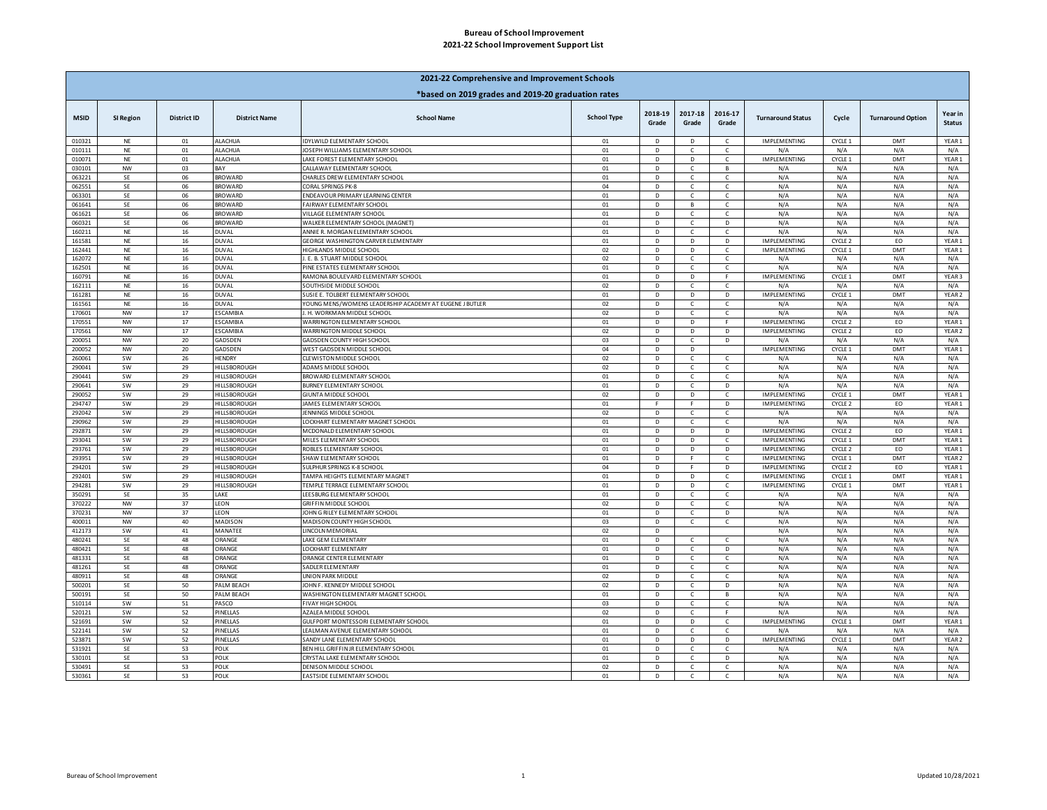## **2021-22 School Improvement Support List Bureau of School Improvement**

| *based on 2019 grades and 2019-20 graduation rates<br>2018-19<br>2017-18<br>2016-17<br>Year in<br><b>School Type</b><br><b>District ID</b><br><b>District Name</b><br><b>School Name</b><br><b>Turnaround Option</b><br><b>MSID</b><br>SI Region<br><b>Turnaround Status</b><br>Cycle<br>Grade<br>Grade<br>Grade<br><b>Status</b><br><b>ALACHUA</b><br>YEAR1<br>010321<br>$\sf NE$<br>01<br>IDYLWILD ELEMENTARY SCHOOL<br>01<br>$\mathsf D$<br>$\mathsf D$<br>IMPLEMENTING<br>CYCLE 1<br><b>DMT</b><br>$\mathsf{C}$<br>010111<br><b>NE</b><br>01<br><b>ALACHUA</b><br>OSEPH WILLIAMS ELEMENTARY SCHOOL<br>01<br>D<br>$\mathfrak{c}$<br>N/A<br>N/A<br>N/A<br>$\mathsf{C}$<br>N/A<br>010071<br><b>ALACHUA</b><br>AKE FOREST ELEMENTARY SCHOOL<br>01<br><b>IMPLEMENTING</b><br>CYCLE 1<br>DMT<br>YEAR <sub>1</sub><br>NE<br>01<br>D<br>D<br>C.<br>030101<br>NW<br>03<br>CALLAWAY ELEMENTARY SCHOOL<br>01<br>D<br>N/A<br>N/A<br>N/A<br>N/A<br><b>BAY</b><br>$\mathsf{C}$<br>R.<br>063221<br>SE<br>06<br><b>BROWARD</b><br>CHARLES DREW ELEMENTARY SCHOOL<br>01<br>D<br>$\mathsf{C}$<br>$\mathsf{C}$<br>N/A<br>N/A<br>N/A<br>N/A<br>SE<br>06<br><b>BROWARD</b><br>04<br>$\overline{\mathsf{D}}$<br>N/A<br>N/A<br>062551<br>CORAL SPRINGS PK-8<br>N/A<br>N/A<br>$\mathbb{C}$<br>$\epsilon$<br><b>SE</b><br><b>BROWARD</b><br><b>INDEAVOUR PRIMARY LEARNING CENTER</b><br>N/A<br>063301<br>06<br>01<br>D<br>N/A<br>N/A<br>N/A<br>$\mathsf{C}$<br>$\mathsf{C}$<br>N/A<br>061641<br>SE<br>06<br><b>BROWARD</b><br>AIRWAY ELEMENTARY SCHOOL<br>$_{01}$<br>D<br>N/A<br>N/A<br>N/A<br>В<br>$\mathsf{C}$<br>061621<br>SE<br>06<br><b>BROWARD</b><br><b>ILLAGE ELEMENTARY SCHOOL</b><br>01<br>D<br>N/A<br>N/A<br>N/A<br>N/A<br>C<br>C<br>060321<br>SE<br>06<br><b>BROWARD</b><br>WALKER ELEMENTARY SCHOOL (MAGNET)<br>01<br>D<br>D<br>N/A<br>N/A<br>N/A<br>N/A<br>$\mathsf{C}$<br><b>NE</b><br>16<br>01<br>D<br>N/A<br>N/A<br>N/A<br>160211<br><b>DUVAL</b><br>ANNIE R. MORGAN ELEMENTARY SCHOOL<br>$\mathfrak{c}$<br>N/A<br><b>IMPLEMENTING</b><br>CYCLE 2<br>YEAR <sub>1</sub><br>161581<br><b>NE</b><br>16<br><b>DUVAL</b><br><b>GEORGE WASHINGTON CARVER ELEMENTARY</b><br>01<br>D<br>D<br>D<br>EO<br><b>IMPLEMENTING</b><br>DMT<br>YEAR1<br>162441<br><b>DUVAL</b><br><b>IIGHLANDS MIDDLE SCHOOL</b><br>02<br>CYCLE 1<br>NE<br>16<br>D<br>D<br>$\mathsf{C}$<br>162072<br><b>NE</b><br><b>DUVAL</b><br>. E. B. STUART MIDDLE SCHOOL<br>02<br>N/A<br>N/A<br>16<br>D<br>$\mathsf{C}$<br>$\mathsf{C}$<br>N/A<br>N/A<br>$\sf NE$<br>16<br><b>DUVAL</b><br>01<br>$\mathsf D$<br>N/A<br>N/A<br>N/A<br>N/A<br>162501<br><b>INE ESTATES ELEMENTARY SCHOOL</b><br>$\epsilon$<br>$\epsilon$<br>16<br><b>DUVAL</b><br>D<br><b>IMPLEMENTING</b><br>CYCLE 1<br>DMT<br>160791<br>NE<br>RAMONA BOULEVARD ELEMENTARY SCHOOL<br>01<br>D<br>F<br>YEAR <sub>3</sub><br>162111<br>$\sf NE$<br>16<br><b>DUVAL</b><br><b>SOUTHSIDE MIDDLE SCHOOL</b><br>02<br>D<br>N/A<br>N/A<br>N/A<br>N/A<br>C<br>c<br><b>DUVAL</b><br><b>IMPLEMENTING</b><br>CYCLE 1<br>DMT<br>YEAR <sub>2</sub><br>161281<br>$\sf NE$<br>16<br>SUSIE E. TOLBERT ELEMENTARY SCHOOL<br>01<br>D<br>D<br>D<br>161561<br><b>NE</b><br><b>DUVAL</b><br>YOUNG MENS/WOMENS LEADERSHIP ACADEMY AT EUGENE J BUTLER<br>02<br>N/A<br>N/A<br>16<br>D<br>$\mathsf{C}$<br>$\mathsf{C}$<br>N/A<br>N/A<br><b>NW</b><br>17<br><b>ESCAMBIA</b><br>02<br>Þ<br>N/A<br>N/A<br>N/A<br>N/A<br>170601<br>H. WORKMAN MIDDLE SCHOOL<br>$\epsilon$<br>$\epsilon$<br>170551<br><b>NW</b><br>17<br><b>ESCAMBIA</b><br>WARRINGTON ELEMENTARY SCHOOL<br>01<br>D<br>D<br>IMPLEMENTING<br>CYCLE 2<br>EO<br>YEAR <sub>1</sub><br><b>ESCAMBIA</b><br>02<br>IMPLEMENTING<br>EO<br>YEAR <sub>2</sub><br>170561<br><b>NW</b><br>17<br>WARRINGTON MIDDLE SCHOOL<br>D<br>D<br>D<br>CYCLE 2<br>200051<br><b>NW</b><br>20<br>GADSDEN<br><b>GADSDEN COUNTY HIGH SCHOOL</b><br>03<br>D<br>$\mathsf{C}$<br>D<br>N/A<br>N/A<br>N/A<br>N/A<br><b>IMPLEMENTING</b><br>200052<br><b>NW</b><br>20<br>GADSDEN<br>WEST GADSDEN MIDDLE SCHOOL<br>04<br>D<br>D<br>CYCLE 1<br>DMT<br>YEAR1<br>02<br>$\overline{\mathsf{D}}$<br><b>SW</b><br>26<br><b>HENDRY</b><br>$\mathsf{C}$<br>N/A<br>N/A<br>N/A<br>260061<br>CLEWISTON MIDDLE SCHOOL<br>$\epsilon$<br>N/A<br>290041<br><b>SW</b><br>29<br>HILLSBOROUGH<br>ADAMS MIDDLE SCHOOL<br>02<br>D<br>N/A<br>N/A<br>N/A<br>N/A<br>C<br>C<br>290441<br><b>SW</b><br><b>HILLSBOROUGH</b><br>BROWARD ELEMENTARY SCHOOL<br>01<br>N/A<br>N/A<br>N/A<br>N/A<br>29<br>D<br>C<br>$\mathsf{C}$<br>290641<br><b>SW</b><br>29<br>HILLSBOROUGH<br>BURNEY ELEMENTARY SCHOOL<br>01<br>D<br>N/A<br>N/A<br>N/A<br>N/A<br>$\mathbb{C}$<br>D.<br>290052<br><b>SW</b><br>29<br>HILLSBOROUGH<br><b>GIUNTA MIDDLE SCHOOL</b><br>02<br>D<br>D<br>$\mathsf{C}$<br>IMPLEMENTING<br>CYCLE 1<br>DMT<br>YEAR1<br>294747<br><b>SW</b><br>29<br><b>HILLSBOROUGH</b><br>01<br><b>IMPLEMENTING</b><br>CYCLE 2<br>EO<br>YEAR1<br>JAMES ELEMENTARY SCHOOL<br>$\mathbf{E}$<br>F.<br>D<br>02<br>292042<br><b>SW</b><br>29<br><b>HILLSBOROUGH</b><br><b>ENNINGS MIDDLE SCHOOL</b><br>D<br>N/A<br>N/A<br>N/A<br>N/A<br>$\mathbb{C}$<br>$\mathsf{C}$<br>290962<br><b>SW</b><br>HILLSBOROUGH<br>LOCKHART ELEMENTARY MAGNET SCHOOL<br>01<br>D<br>N/A<br>N/A<br>29<br>N/A<br>N/A<br>$\mathsf{C}$<br>C<br>292871<br><b>SW</b><br>29<br>HILLSBOROUGH<br>MCDONALD ELEMENTARY SCHOOL<br>01<br>D<br>D<br>D<br><b>IMPLEMENTING</b><br>CYCLE 2<br>EO<br>YEAR1<br>293041<br><b>SW</b><br>29<br><b>HILLSBOROUGH</b><br>MILES ELEMENTARY SCHOOL<br>$_{01}$<br>D<br>IMPLEMENTING<br>CYCLE 1<br>DMT<br>YEAR1<br>D<br>$\mathsf{C}$<br><b>SW</b><br>29<br>01<br>D<br>D<br>CYCLE 2<br>EO<br>293761<br>HILLSBOROUGH<br>ROBLES ELEMENTARY SCHOOL<br>D<br>IMPLEMENTING<br>YEAR1<br>DMT<br>293951<br><b>SW</b><br>29<br><b>HILLSBOROUGH</b><br><b>SHAW ELEMENTARY SCHOOL</b><br>01<br>D<br>F<br>$\mathsf{C}$<br><b>IMPLEMENTING</b><br>CYCLE 1<br>YEAR <sub>2</sub><br><b>SW</b><br>04<br>CYCLE 2<br>EO<br>YEAR1<br>294201<br>29<br>HILLSBOROUGH<br>SULPHUR SPRINGS K-8 SCHOOI<br>IMPLEMENTING<br>D<br>F.<br>D<br><b>SW</b><br>29<br><b>HILLSBOROUGH</b><br>IMPLEMENTING<br>DMT<br>YEAR1<br>292401<br>TAMPA HEIGHTS ELEMENTARY MAGNET<br>01<br>D<br>D<br>$\epsilon$<br>CYCLE 1<br><b>SW</b><br>29<br>01<br>$\mathsf D$<br>IMPLEMENTING<br>DMT<br>YEAR1<br>294281<br>HILLSBOROUGH<br>TEMPLE TERRACE ELEMENTARY SCHOOL<br>D<br>$\epsilon$<br>CYCLE 1<br>SE<br>D<br>350291<br>35<br>LAKE<br>EESBURG ELEMENTARY SCHOOL<br>01<br>$\mathsf{C}$<br>C<br>N/A<br>N/A<br>N/A<br>N/A<br>370222<br><b>NW</b><br>LEON<br>GRIFFIN MIDDLE SCHOOL<br>02<br>N/A<br>N/A<br>N/A<br>N/A<br>37<br>D<br>$\mathsf{C}$<br>C<br>LEON<br>N/A<br>370231<br><b>NW</b><br>37<br>JOHN G RILEY ELEMENTARY SCHOOL<br>01<br>D<br>$\mathsf{C}$<br>D<br>N/A<br>N/A<br>N/A<br>40<br>MADISON<br>03<br>N/A<br>N/A<br>400011<br><b>NW</b><br>MADISON COUNTY HIGH SCHOOL<br>D<br>$\mathsf{C}$<br>C<br>N/A<br>N/A<br><b>SW</b><br>41<br>MANATEE<br>02<br>$\overline{D}$<br>N/A<br>N/A<br>N/A<br>N/A<br>412173<br><b>LINCOLN MEMORIAL</b><br>480241<br>SE<br>48<br>ORANGE<br>AKE GEM ELEMENTARY<br>01<br>D<br>N/A<br>N/A<br>N/A<br>N/A<br>$\mathbb{C}$<br>Ċ<br>ORANGE<br>N/A<br>480421<br>SE<br>48<br>LOCKHART ELEMENTARY<br>01<br>$\mathsf D$<br>D<br>N/A<br>N/A<br>N/A<br>$\mathsf{C}$<br>ORANGE<br>N/A<br>481331<br>SE<br>48<br>ORANGE CENTER ELEMENTARY<br>01<br>D<br>N/A<br>N/A<br>N/A<br>C<br>C<br>481261<br>SE<br>48<br>ORANGE<br><b>ADLER ELEMENTARY</b><br>01<br>$\mathsf D$<br>N/A<br>N/A<br>N/A<br>N/A<br>$\mathfrak{c}$<br>$\epsilon$<br>SE<br>48<br>ORANGE<br>02<br>D<br>N/A<br>N/A<br>N/A<br>N/A<br>480911<br>UNION PARK MIDDLE<br>$\epsilon$<br>$\mathbb{C}$<br>SE<br>50<br>PALM BEACH<br>OHN F. KENNEDY MIDDLE SCHOOL<br>02<br>D<br>N/A<br>N/A<br>N/A<br>N/A<br>500201<br>$\mathsf{C}$<br>D<br>500191<br>PALM BEACH<br>WASHINGTON ELEMENTARY MAGNET SCHOOL<br>01<br>N/A<br>N/A<br>N/A<br>N/A<br>SE<br>50<br>D<br>В<br>c<br>510114<br><b>SW</b><br>51<br>PASCO<br><b>FIVAY HIGH SCHOOL</b><br>03<br>N/A<br>N/A<br>N/A<br>N/A<br>D<br>$\mathsf{C}$<br>$\mathsf{C}$<br>520121<br><b>SW</b><br>52<br>PINELLAS<br>AZALEA MIDDLE SCHOOI<br>02<br>$\mathsf D$<br>$\mathsf{C}$<br>F<br>N/A<br>N/A<br>N/A<br>N/A<br><b>SW</b><br>52<br><b>IMPLEMENTING</b><br>PINELLAS<br>01<br>D<br>D<br>CYCLE 1<br>DMT<br>YEAR1<br>521691<br>GULFPORT MONTESSORI ELEMENTARY SCHOOL<br>$\mathsf{C}$<br>PINELLAS<br>522141<br><b>SW</b><br>52<br>LEALMAN AVENUE ELEMENTARY SCHOOL<br>01<br>D<br>N/A<br>N/A<br>N/A<br>N/A<br>$\mathsf{C}$<br>C<br>CYCLE 1<br>YEAR <sub>2</sub><br>523871<br><b>SW</b><br>52<br>PINELLAS<br>01<br>$\mathsf D$<br>D<br>IMPLEMENTING<br>DMT<br>SANDY LANE ELEMENTARY SCHOOL<br>D<br>531921<br>SE<br>53<br>POLK<br>BEN HILL GRIFFIN JR ELEMENTARY SCHOOL<br>01<br>D<br>N/A<br>N/A<br>N/A<br>N/A<br>$\mathsf{C}$<br>$\mathsf{C}$<br>530101<br>SE<br>53<br>POLK<br>CRYSTAL LAKE ELEMENTARY SCHOOL<br>01<br>D<br>N/A<br>N/A<br>N/A<br>N/A<br>$\mathsf{C}$<br>D<br>SE<br>53<br>N/A<br>530491<br>POLK<br>DENISON MIDDLE SCHOOL<br>02<br>D<br>N/A<br>N/A<br>N/A<br>530361<br>SE<br>53<br>POLK<br>EASTSIDE ELEMENTARY SCHOOL<br>01<br>D<br>$\mathfrak{c}$<br>N/A<br>N/A<br>N/A<br>N/A<br>$\mathsf{C}$ | 2021-22 Comprehensive and Improvement Schools |  |  |  |  |  |  |  |  |  |  |  |
|-----------------------------------------------------------------------------------------------------------------------------------------------------------------------------------------------------------------------------------------------------------------------------------------------------------------------------------------------------------------------------------------------------------------------------------------------------------------------------------------------------------------------------------------------------------------------------------------------------------------------------------------------------------------------------------------------------------------------------------------------------------------------------------------------------------------------------------------------------------------------------------------------------------------------------------------------------------------------------------------------------------------------------------------------------------------------------------------------------------------------------------------------------------------------------------------------------------------------------------------------------------------------------------------------------------------------------------------------------------------------------------------------------------------------------------------------------------------------------------------------------------------------------------------------------------------------------------------------------------------------------------------------------------------------------------------------------------------------------------------------------------------------------------------------------------------------------------------------------------------------------------------------------------------------------------------------------------------------------------------------------------------------------------------------------------------------------------------------------------------------------------------------------------------------------------------------------------------------------------------------------------------------------------------------------------------------------------------------------------------------------------------------------------------------------------------------------------------------------------------------------------------------------------------------------------------------------------------------------------------------------------------------------------------------------------------------------------------------------------------------------------------------------------------------------------------------------------------------------------------------------------------------------------------------------------------------------------------------------------------------------------------------------------------------------------------------------------------------------------------------------------------------------------------------------------------------------------------------------------------------------------------------------------------------------------------------------------------------------------------------------------------------------------------------------------------------------------------------------------------------------------------------------------------------------------------------------------------------------------------------------------------------------------------------------------------------------------------------------------------------------------------------------------------------------------------------------------------------------------------------------------------------------------------------------------------------------------------------------------------------------------------------------------------------------------------------------------------------------------------------------------------------------------------------------------------------------------------------------------------------------------------------------------------------------------------------------------------------------------------------------------------------------------------------------------------------------------------------------------------------------------------------------------------------------------------------------------------------------------------------------------------------------------------------------------------------------------------------------------------------------------------------------------------------------------------------------------------------------------------------------------------------------------------------------------------------------------------------------------------------------------------------------------------------------------------------------------------------------------------------------------------------------------------------------------------------------------------------------------------------------------------------------------------------------------------------------------------------------------------------------------------------------------------------------------------------------------------------------------------------------------------------------------------------------------------------------------------------------------------------------------------------------------------------------------------------------------------------------------------------------------------------------------------------------------------------------------------------------------------------------------------------------------------------------------------------------------------------------------------------------------------------------------------------------------------------------------------------------------------------------------------------------------------------------------------------------------------------------------------------------------------------------------------------------------------------------------------------------------------------------------------------------------------------------------------------------------------------------------------------------------------------------------------------------------------------------------------------------------------------------------------------------------------------------------------------------------------------------------------------------------------------------------------------------------------------------------------------------------------------------------------------------------------------------------------------------------------------------------------------------------------------------------------------------------------------------------------------------------------------------------------------------------------------------------------------------------------------------------------------------------------------------------------------------------------------------------------------------------------------------------------------------------------------------------------------------------------------------------------------------------------------------------------------------------------------------------------------------------------------------------------------------------------------------------------------------------------------------------------------------------------------------------------------------------------------------------------------------------------------------------------------------------------------------------------------------------------------------------------------------------------------------------------------------------------------------------------------------------------------------------------------------------------------------------------------------------------------------------------------------------------------------------------------------------------------------------------------------------------------------------------------------------------------------------------------------------------------------------------------------------------------------------------------------------------------------------------------------------------------------------------------------------------------------------------------------------------------------------------------------------------------------------------------------------------------------------------------------------------------------------------------------------------------------------------------------------------------------------------------------------------------------------------------------------------------------------------------------------------------------------------------------------------------------------------------------------------------------------|-----------------------------------------------|--|--|--|--|--|--|--|--|--|--|--|
|                                                                                                                                                                                                                                                                                                                                                                                                                                                                                                                                                                                                                                                                                                                                                                                                                                                                                                                                                                                                                                                                                                                                                                                                                                                                                                                                                                                                                                                                                                                                                                                                                                                                                                                                                                                                                                                                                                                                                                                                                                                                                                                                                                                                                                                                                                                                                                                                                                                                                                                                                                                                                                                                                                                                                                                                                                                                                                                                                                                                                                                                                                                                                                                                                                                                                                                                                                                                                                                                                                                                                                                                                                                                                                                                                                                                                                                                                                                                                                                                                                                                                                                                                                                                                                                                                                                                                                                                                                                                                                                                                                                                                                                                                                                                                                                                                                                                                                                                                                                                                                                                                                                                                                                                                                                                                                                                                                                                                                                                                                                                                                                                                                                                                                                                                                                                                                                                                                                                                                                                                                                                                                                                                                                                                                                                                                                                                                                                                                                                                                                                                                                                                                                                                                                                                                                                                                                                                                                                                                                                                                                                                                                                                                                                                                                                                                                                                                                                                                                                                                                                                                                                                                                                                                                                                                                                                                                                                                                                                                                                                                                                                                                                                                                                                                                                                                                                                                                                                                                                                                                                                                                                                                                                                                                                                                                                                                                                                                                                                                                                                                                                                                                                                                                                                                   |                                               |  |  |  |  |  |  |  |  |  |  |  |
|                                                                                                                                                                                                                                                                                                                                                                                                                                                                                                                                                                                                                                                                                                                                                                                                                                                                                                                                                                                                                                                                                                                                                                                                                                                                                                                                                                                                                                                                                                                                                                                                                                                                                                                                                                                                                                                                                                                                                                                                                                                                                                                                                                                                                                                                                                                                                                                                                                                                                                                                                                                                                                                                                                                                                                                                                                                                                                                                                                                                                                                                                                                                                                                                                                                                                                                                                                                                                                                                                                                                                                                                                                                                                                                                                                                                                                                                                                                                                                                                                                                                                                                                                                                                                                                                                                                                                                                                                                                                                                                                                                                                                                                                                                                                                                                                                                                                                                                                                                                                                                                                                                                                                                                                                                                                                                                                                                                                                                                                                                                                                                                                                                                                                                                                                                                                                                                                                                                                                                                                                                                                                                                                                                                                                                                                                                                                                                                                                                                                                                                                                                                                                                                                                                                                                                                                                                                                                                                                                                                                                                                                                                                                                                                                                                                                                                                                                                                                                                                                                                                                                                                                                                                                                                                                                                                                                                                                                                                                                                                                                                                                                                                                                                                                                                                                                                                                                                                                                                                                                                                                                                                                                                                                                                                                                                                                                                                                                                                                                                                                                                                                                                                                                                                                                                   |                                               |  |  |  |  |  |  |  |  |  |  |  |
|                                                                                                                                                                                                                                                                                                                                                                                                                                                                                                                                                                                                                                                                                                                                                                                                                                                                                                                                                                                                                                                                                                                                                                                                                                                                                                                                                                                                                                                                                                                                                                                                                                                                                                                                                                                                                                                                                                                                                                                                                                                                                                                                                                                                                                                                                                                                                                                                                                                                                                                                                                                                                                                                                                                                                                                                                                                                                                                                                                                                                                                                                                                                                                                                                                                                                                                                                                                                                                                                                                                                                                                                                                                                                                                                                                                                                                                                                                                                                                                                                                                                                                                                                                                                                                                                                                                                                                                                                                                                                                                                                                                                                                                                                                                                                                                                                                                                                                                                                                                                                                                                                                                                                                                                                                                                                                                                                                                                                                                                                                                                                                                                                                                                                                                                                                                                                                                                                                                                                                                                                                                                                                                                                                                                                                                                                                                                                                                                                                                                                                                                                                                                                                                                                                                                                                                                                                                                                                                                                                                                                                                                                                                                                                                                                                                                                                                                                                                                                                                                                                                                                                                                                                                                                                                                                                                                                                                                                                                                                                                                                                                                                                                                                                                                                                                                                                                                                                                                                                                                                                                                                                                                                                                                                                                                                                                                                                                                                                                                                                                                                                                                                                                                                                                                                                   |                                               |  |  |  |  |  |  |  |  |  |  |  |
|                                                                                                                                                                                                                                                                                                                                                                                                                                                                                                                                                                                                                                                                                                                                                                                                                                                                                                                                                                                                                                                                                                                                                                                                                                                                                                                                                                                                                                                                                                                                                                                                                                                                                                                                                                                                                                                                                                                                                                                                                                                                                                                                                                                                                                                                                                                                                                                                                                                                                                                                                                                                                                                                                                                                                                                                                                                                                                                                                                                                                                                                                                                                                                                                                                                                                                                                                                                                                                                                                                                                                                                                                                                                                                                                                                                                                                                                                                                                                                                                                                                                                                                                                                                                                                                                                                                                                                                                                                                                                                                                                                                                                                                                                                                                                                                                                                                                                                                                                                                                                                                                                                                                                                                                                                                                                                                                                                                                                                                                                                                                                                                                                                                                                                                                                                                                                                                                                                                                                                                                                                                                                                                                                                                                                                                                                                                                                                                                                                                                                                                                                                                                                                                                                                                                                                                                                                                                                                                                                                                                                                                                                                                                                                                                                                                                                                                                                                                                                                                                                                                                                                                                                                                                                                                                                                                                                                                                                                                                                                                                                                                                                                                                                                                                                                                                                                                                                                                                                                                                                                                                                                                                                                                                                                                                                                                                                                                                                                                                                                                                                                                                                                                                                                                                                                   |                                               |  |  |  |  |  |  |  |  |  |  |  |
|                                                                                                                                                                                                                                                                                                                                                                                                                                                                                                                                                                                                                                                                                                                                                                                                                                                                                                                                                                                                                                                                                                                                                                                                                                                                                                                                                                                                                                                                                                                                                                                                                                                                                                                                                                                                                                                                                                                                                                                                                                                                                                                                                                                                                                                                                                                                                                                                                                                                                                                                                                                                                                                                                                                                                                                                                                                                                                                                                                                                                                                                                                                                                                                                                                                                                                                                                                                                                                                                                                                                                                                                                                                                                                                                                                                                                                                                                                                                                                                                                                                                                                                                                                                                                                                                                                                                                                                                                                                                                                                                                                                                                                                                                                                                                                                                                                                                                                                                                                                                                                                                                                                                                                                                                                                                                                                                                                                                                                                                                                                                                                                                                                                                                                                                                                                                                                                                                                                                                                                                                                                                                                                                                                                                                                                                                                                                                                                                                                                                                                                                                                                                                                                                                                                                                                                                                                                                                                                                                                                                                                                                                                                                                                                                                                                                                                                                                                                                                                                                                                                                                                                                                                                                                                                                                                                                                                                                                                                                                                                                                                                                                                                                                                                                                                                                                                                                                                                                                                                                                                                                                                                                                                                                                                                                                                                                                                                                                                                                                                                                                                                                                                                                                                                                                                   |                                               |  |  |  |  |  |  |  |  |  |  |  |
|                                                                                                                                                                                                                                                                                                                                                                                                                                                                                                                                                                                                                                                                                                                                                                                                                                                                                                                                                                                                                                                                                                                                                                                                                                                                                                                                                                                                                                                                                                                                                                                                                                                                                                                                                                                                                                                                                                                                                                                                                                                                                                                                                                                                                                                                                                                                                                                                                                                                                                                                                                                                                                                                                                                                                                                                                                                                                                                                                                                                                                                                                                                                                                                                                                                                                                                                                                                                                                                                                                                                                                                                                                                                                                                                                                                                                                                                                                                                                                                                                                                                                                                                                                                                                                                                                                                                                                                                                                                                                                                                                                                                                                                                                                                                                                                                                                                                                                                                                                                                                                                                                                                                                                                                                                                                                                                                                                                                                                                                                                                                                                                                                                                                                                                                                                                                                                                                                                                                                                                                                                                                                                                                                                                                                                                                                                                                                                                                                                                                                                                                                                                                                                                                                                                                                                                                                                                                                                                                                                                                                                                                                                                                                                                                                                                                                                                                                                                                                                                                                                                                                                                                                                                                                                                                                                                                                                                                                                                                                                                                                                                                                                                                                                                                                                                                                                                                                                                                                                                                                                                                                                                                                                                                                                                                                                                                                                                                                                                                                                                                                                                                                                                                                                                                                                   |                                               |  |  |  |  |  |  |  |  |  |  |  |
|                                                                                                                                                                                                                                                                                                                                                                                                                                                                                                                                                                                                                                                                                                                                                                                                                                                                                                                                                                                                                                                                                                                                                                                                                                                                                                                                                                                                                                                                                                                                                                                                                                                                                                                                                                                                                                                                                                                                                                                                                                                                                                                                                                                                                                                                                                                                                                                                                                                                                                                                                                                                                                                                                                                                                                                                                                                                                                                                                                                                                                                                                                                                                                                                                                                                                                                                                                                                                                                                                                                                                                                                                                                                                                                                                                                                                                                                                                                                                                                                                                                                                                                                                                                                                                                                                                                                                                                                                                                                                                                                                                                                                                                                                                                                                                                                                                                                                                                                                                                                                                                                                                                                                                                                                                                                                                                                                                                                                                                                                                                                                                                                                                                                                                                                                                                                                                                                                                                                                                                                                                                                                                                                                                                                                                                                                                                                                                                                                                                                                                                                                                                                                                                                                                                                                                                                                                                                                                                                                                                                                                                                                                                                                                                                                                                                                                                                                                                                                                                                                                                                                                                                                                                                                                                                                                                                                                                                                                                                                                                                                                                                                                                                                                                                                                                                                                                                                                                                                                                                                                                                                                                                                                                                                                                                                                                                                                                                                                                                                                                                                                                                                                                                                                                                                                   |                                               |  |  |  |  |  |  |  |  |  |  |  |
|                                                                                                                                                                                                                                                                                                                                                                                                                                                                                                                                                                                                                                                                                                                                                                                                                                                                                                                                                                                                                                                                                                                                                                                                                                                                                                                                                                                                                                                                                                                                                                                                                                                                                                                                                                                                                                                                                                                                                                                                                                                                                                                                                                                                                                                                                                                                                                                                                                                                                                                                                                                                                                                                                                                                                                                                                                                                                                                                                                                                                                                                                                                                                                                                                                                                                                                                                                                                                                                                                                                                                                                                                                                                                                                                                                                                                                                                                                                                                                                                                                                                                                                                                                                                                                                                                                                                                                                                                                                                                                                                                                                                                                                                                                                                                                                                                                                                                                                                                                                                                                                                                                                                                                                                                                                                                                                                                                                                                                                                                                                                                                                                                                                                                                                                                                                                                                                                                                                                                                                                                                                                                                                                                                                                                                                                                                                                                                                                                                                                                                                                                                                                                                                                                                                                                                                                                                                                                                                                                                                                                                                                                                                                                                                                                                                                                                                                                                                                                                                                                                                                                                                                                                                                                                                                                                                                                                                                                                                                                                                                                                                                                                                                                                                                                                                                                                                                                                                                                                                                                                                                                                                                                                                                                                                                                                                                                                                                                                                                                                                                                                                                                                                                                                                                                                   |                                               |  |  |  |  |  |  |  |  |  |  |  |
|                                                                                                                                                                                                                                                                                                                                                                                                                                                                                                                                                                                                                                                                                                                                                                                                                                                                                                                                                                                                                                                                                                                                                                                                                                                                                                                                                                                                                                                                                                                                                                                                                                                                                                                                                                                                                                                                                                                                                                                                                                                                                                                                                                                                                                                                                                                                                                                                                                                                                                                                                                                                                                                                                                                                                                                                                                                                                                                                                                                                                                                                                                                                                                                                                                                                                                                                                                                                                                                                                                                                                                                                                                                                                                                                                                                                                                                                                                                                                                                                                                                                                                                                                                                                                                                                                                                                                                                                                                                                                                                                                                                                                                                                                                                                                                                                                                                                                                                                                                                                                                                                                                                                                                                                                                                                                                                                                                                                                                                                                                                                                                                                                                                                                                                                                                                                                                                                                                                                                                                                                                                                                                                                                                                                                                                                                                                                                                                                                                                                                                                                                                                                                                                                                                                                                                                                                                                                                                                                                                                                                                                                                                                                                                                                                                                                                                                                                                                                                                                                                                                                                                                                                                                                                                                                                                                                                                                                                                                                                                                                                                                                                                                                                                                                                                                                                                                                                                                                                                                                                                                                                                                                                                                                                                                                                                                                                                                                                                                                                                                                                                                                                                                                                                                                                                   |                                               |  |  |  |  |  |  |  |  |  |  |  |
|                                                                                                                                                                                                                                                                                                                                                                                                                                                                                                                                                                                                                                                                                                                                                                                                                                                                                                                                                                                                                                                                                                                                                                                                                                                                                                                                                                                                                                                                                                                                                                                                                                                                                                                                                                                                                                                                                                                                                                                                                                                                                                                                                                                                                                                                                                                                                                                                                                                                                                                                                                                                                                                                                                                                                                                                                                                                                                                                                                                                                                                                                                                                                                                                                                                                                                                                                                                                                                                                                                                                                                                                                                                                                                                                                                                                                                                                                                                                                                                                                                                                                                                                                                                                                                                                                                                                                                                                                                                                                                                                                                                                                                                                                                                                                                                                                                                                                                                                                                                                                                                                                                                                                                                                                                                                                                                                                                                                                                                                                                                                                                                                                                                                                                                                                                                                                                                                                                                                                                                                                                                                                                                                                                                                                                                                                                                                                                                                                                                                                                                                                                                                                                                                                                                                                                                                                                                                                                                                                                                                                                                                                                                                                                                                                                                                                                                                                                                                                                                                                                                                                                                                                                                                                                                                                                                                                                                                                                                                                                                                                                                                                                                                                                                                                                                                                                                                                                                                                                                                                                                                                                                                                                                                                                                                                                                                                                                                                                                                                                                                                                                                                                                                                                                                                                   |                                               |  |  |  |  |  |  |  |  |  |  |  |
|                                                                                                                                                                                                                                                                                                                                                                                                                                                                                                                                                                                                                                                                                                                                                                                                                                                                                                                                                                                                                                                                                                                                                                                                                                                                                                                                                                                                                                                                                                                                                                                                                                                                                                                                                                                                                                                                                                                                                                                                                                                                                                                                                                                                                                                                                                                                                                                                                                                                                                                                                                                                                                                                                                                                                                                                                                                                                                                                                                                                                                                                                                                                                                                                                                                                                                                                                                                                                                                                                                                                                                                                                                                                                                                                                                                                                                                                                                                                                                                                                                                                                                                                                                                                                                                                                                                                                                                                                                                                                                                                                                                                                                                                                                                                                                                                                                                                                                                                                                                                                                                                                                                                                                                                                                                                                                                                                                                                                                                                                                                                                                                                                                                                                                                                                                                                                                                                                                                                                                                                                                                                                                                                                                                                                                                                                                                                                                                                                                                                                                                                                                                                                                                                                                                                                                                                                                                                                                                                                                                                                                                                                                                                                                                                                                                                                                                                                                                                                                                                                                                                                                                                                                                                                                                                                                                                                                                                                                                                                                                                                                                                                                                                                                                                                                                                                                                                                                                                                                                                                                                                                                                                                                                                                                                                                                                                                                                                                                                                                                                                                                                                                                                                                                                                                                   |                                               |  |  |  |  |  |  |  |  |  |  |  |
|                                                                                                                                                                                                                                                                                                                                                                                                                                                                                                                                                                                                                                                                                                                                                                                                                                                                                                                                                                                                                                                                                                                                                                                                                                                                                                                                                                                                                                                                                                                                                                                                                                                                                                                                                                                                                                                                                                                                                                                                                                                                                                                                                                                                                                                                                                                                                                                                                                                                                                                                                                                                                                                                                                                                                                                                                                                                                                                                                                                                                                                                                                                                                                                                                                                                                                                                                                                                                                                                                                                                                                                                                                                                                                                                                                                                                                                                                                                                                                                                                                                                                                                                                                                                                                                                                                                                                                                                                                                                                                                                                                                                                                                                                                                                                                                                                                                                                                                                                                                                                                                                                                                                                                                                                                                                                                                                                                                                                                                                                                                                                                                                                                                                                                                                                                                                                                                                                                                                                                                                                                                                                                                                                                                                                                                                                                                                                                                                                                                                                                                                                                                                                                                                                                                                                                                                                                                                                                                                                                                                                                                                                                                                                                                                                                                                                                                                                                                                                                                                                                                                                                                                                                                                                                                                                                                                                                                                                                                                                                                                                                                                                                                                                                                                                                                                                                                                                                                                                                                                                                                                                                                                                                                                                                                                                                                                                                                                                                                                                                                                                                                                                                                                                                                                                                   |                                               |  |  |  |  |  |  |  |  |  |  |  |
|                                                                                                                                                                                                                                                                                                                                                                                                                                                                                                                                                                                                                                                                                                                                                                                                                                                                                                                                                                                                                                                                                                                                                                                                                                                                                                                                                                                                                                                                                                                                                                                                                                                                                                                                                                                                                                                                                                                                                                                                                                                                                                                                                                                                                                                                                                                                                                                                                                                                                                                                                                                                                                                                                                                                                                                                                                                                                                                                                                                                                                                                                                                                                                                                                                                                                                                                                                                                                                                                                                                                                                                                                                                                                                                                                                                                                                                                                                                                                                                                                                                                                                                                                                                                                                                                                                                                                                                                                                                                                                                                                                                                                                                                                                                                                                                                                                                                                                                                                                                                                                                                                                                                                                                                                                                                                                                                                                                                                                                                                                                                                                                                                                                                                                                                                                                                                                                                                                                                                                                                                                                                                                                                                                                                                                                                                                                                                                                                                                                                                                                                                                                                                                                                                                                                                                                                                                                                                                                                                                                                                                                                                                                                                                                                                                                                                                                                                                                                                                                                                                                                                                                                                                                                                                                                                                                                                                                                                                                                                                                                                                                                                                                                                                                                                                                                                                                                                                                                                                                                                                                                                                                                                                                                                                                                                                                                                                                                                                                                                                                                                                                                                                                                                                                                                                   |                                               |  |  |  |  |  |  |  |  |  |  |  |
|                                                                                                                                                                                                                                                                                                                                                                                                                                                                                                                                                                                                                                                                                                                                                                                                                                                                                                                                                                                                                                                                                                                                                                                                                                                                                                                                                                                                                                                                                                                                                                                                                                                                                                                                                                                                                                                                                                                                                                                                                                                                                                                                                                                                                                                                                                                                                                                                                                                                                                                                                                                                                                                                                                                                                                                                                                                                                                                                                                                                                                                                                                                                                                                                                                                                                                                                                                                                                                                                                                                                                                                                                                                                                                                                                                                                                                                                                                                                                                                                                                                                                                                                                                                                                                                                                                                                                                                                                                                                                                                                                                                                                                                                                                                                                                                                                                                                                                                                                                                                                                                                                                                                                                                                                                                                                                                                                                                                                                                                                                                                                                                                                                                                                                                                                                                                                                                                                                                                                                                                                                                                                                                                                                                                                                                                                                                                                                                                                                                                                                                                                                                                                                                                                                                                                                                                                                                                                                                                                                                                                                                                                                                                                                                                                                                                                                                                                                                                                                                                                                                                                                                                                                                                                                                                                                                                                                                                                                                                                                                                                                                                                                                                                                                                                                                                                                                                                                                                                                                                                                                                                                                                                                                                                                                                                                                                                                                                                                                                                                                                                                                                                                                                                                                                                                   |                                               |  |  |  |  |  |  |  |  |  |  |  |
|                                                                                                                                                                                                                                                                                                                                                                                                                                                                                                                                                                                                                                                                                                                                                                                                                                                                                                                                                                                                                                                                                                                                                                                                                                                                                                                                                                                                                                                                                                                                                                                                                                                                                                                                                                                                                                                                                                                                                                                                                                                                                                                                                                                                                                                                                                                                                                                                                                                                                                                                                                                                                                                                                                                                                                                                                                                                                                                                                                                                                                                                                                                                                                                                                                                                                                                                                                                                                                                                                                                                                                                                                                                                                                                                                                                                                                                                                                                                                                                                                                                                                                                                                                                                                                                                                                                                                                                                                                                                                                                                                                                                                                                                                                                                                                                                                                                                                                                                                                                                                                                                                                                                                                                                                                                                                                                                                                                                                                                                                                                                                                                                                                                                                                                                                                                                                                                                                                                                                                                                                                                                                                                                                                                                                                                                                                                                                                                                                                                                                                                                                                                                                                                                                                                                                                                                                                                                                                                                                                                                                                                                                                                                                                                                                                                                                                                                                                                                                                                                                                                                                                                                                                                                                                                                                                                                                                                                                                                                                                                                                                                                                                                                                                                                                                                                                                                                                                                                                                                                                                                                                                                                                                                                                                                                                                                                                                                                                                                                                                                                                                                                                                                                                                                                                                   |                                               |  |  |  |  |  |  |  |  |  |  |  |
|                                                                                                                                                                                                                                                                                                                                                                                                                                                                                                                                                                                                                                                                                                                                                                                                                                                                                                                                                                                                                                                                                                                                                                                                                                                                                                                                                                                                                                                                                                                                                                                                                                                                                                                                                                                                                                                                                                                                                                                                                                                                                                                                                                                                                                                                                                                                                                                                                                                                                                                                                                                                                                                                                                                                                                                                                                                                                                                                                                                                                                                                                                                                                                                                                                                                                                                                                                                                                                                                                                                                                                                                                                                                                                                                                                                                                                                                                                                                                                                                                                                                                                                                                                                                                                                                                                                                                                                                                                                                                                                                                                                                                                                                                                                                                                                                                                                                                                                                                                                                                                                                                                                                                                                                                                                                                                                                                                                                                                                                                                                                                                                                                                                                                                                                                                                                                                                                                                                                                                                                                                                                                                                                                                                                                                                                                                                                                                                                                                                                                                                                                                                                                                                                                                                                                                                                                                                                                                                                                                                                                                                                                                                                                                                                                                                                                                                                                                                                                                                                                                                                                                                                                                                                                                                                                                                                                                                                                                                                                                                                                                                                                                                                                                                                                                                                                                                                                                                                                                                                                                                                                                                                                                                                                                                                                                                                                                                                                                                                                                                                                                                                                                                                                                                                                                   |                                               |  |  |  |  |  |  |  |  |  |  |  |
|                                                                                                                                                                                                                                                                                                                                                                                                                                                                                                                                                                                                                                                                                                                                                                                                                                                                                                                                                                                                                                                                                                                                                                                                                                                                                                                                                                                                                                                                                                                                                                                                                                                                                                                                                                                                                                                                                                                                                                                                                                                                                                                                                                                                                                                                                                                                                                                                                                                                                                                                                                                                                                                                                                                                                                                                                                                                                                                                                                                                                                                                                                                                                                                                                                                                                                                                                                                                                                                                                                                                                                                                                                                                                                                                                                                                                                                                                                                                                                                                                                                                                                                                                                                                                                                                                                                                                                                                                                                                                                                                                                                                                                                                                                                                                                                                                                                                                                                                                                                                                                                                                                                                                                                                                                                                                                                                                                                                                                                                                                                                                                                                                                                                                                                                                                                                                                                                                                                                                                                                                                                                                                                                                                                                                                                                                                                                                                                                                                                                                                                                                                                                                                                                                                                                                                                                                                                                                                                                                                                                                                                                                                                                                                                                                                                                                                                                                                                                                                                                                                                                                                                                                                                                                                                                                                                                                                                                                                                                                                                                                                                                                                                                                                                                                                                                                                                                                                                                                                                                                                                                                                                                                                                                                                                                                                                                                                                                                                                                                                                                                                                                                                                                                                                                                                   |                                               |  |  |  |  |  |  |  |  |  |  |  |
|                                                                                                                                                                                                                                                                                                                                                                                                                                                                                                                                                                                                                                                                                                                                                                                                                                                                                                                                                                                                                                                                                                                                                                                                                                                                                                                                                                                                                                                                                                                                                                                                                                                                                                                                                                                                                                                                                                                                                                                                                                                                                                                                                                                                                                                                                                                                                                                                                                                                                                                                                                                                                                                                                                                                                                                                                                                                                                                                                                                                                                                                                                                                                                                                                                                                                                                                                                                                                                                                                                                                                                                                                                                                                                                                                                                                                                                                                                                                                                                                                                                                                                                                                                                                                                                                                                                                                                                                                                                                                                                                                                                                                                                                                                                                                                                                                                                                                                                                                                                                                                                                                                                                                                                                                                                                                                                                                                                                                                                                                                                                                                                                                                                                                                                                                                                                                                                                                                                                                                                                                                                                                                                                                                                                                                                                                                                                                                                                                                                                                                                                                                                                                                                                                                                                                                                                                                                                                                                                                                                                                                                                                                                                                                                                                                                                                                                                                                                                                                                                                                                                                                                                                                                                                                                                                                                                                                                                                                                                                                                                                                                                                                                                                                                                                                                                                                                                                                                                                                                                                                                                                                                                                                                                                                                                                                                                                                                                                                                                                                                                                                                                                                                                                                                                                                   |                                               |  |  |  |  |  |  |  |  |  |  |  |
|                                                                                                                                                                                                                                                                                                                                                                                                                                                                                                                                                                                                                                                                                                                                                                                                                                                                                                                                                                                                                                                                                                                                                                                                                                                                                                                                                                                                                                                                                                                                                                                                                                                                                                                                                                                                                                                                                                                                                                                                                                                                                                                                                                                                                                                                                                                                                                                                                                                                                                                                                                                                                                                                                                                                                                                                                                                                                                                                                                                                                                                                                                                                                                                                                                                                                                                                                                                                                                                                                                                                                                                                                                                                                                                                                                                                                                                                                                                                                                                                                                                                                                                                                                                                                                                                                                                                                                                                                                                                                                                                                                                                                                                                                                                                                                                                                                                                                                                                                                                                                                                                                                                                                                                                                                                                                                                                                                                                                                                                                                                                                                                                                                                                                                                                                                                                                                                                                                                                                                                                                                                                                                                                                                                                                                                                                                                                                                                                                                                                                                                                                                                                                                                                                                                                                                                                                                                                                                                                                                                                                                                                                                                                                                                                                                                                                                                                                                                                                                                                                                                                                                                                                                                                                                                                                                                                                                                                                                                                                                                                                                                                                                                                                                                                                                                                                                                                                                                                                                                                                                                                                                                                                                                                                                                                                                                                                                                                                                                                                                                                                                                                                                                                                                                                                                   |                                               |  |  |  |  |  |  |  |  |  |  |  |
|                                                                                                                                                                                                                                                                                                                                                                                                                                                                                                                                                                                                                                                                                                                                                                                                                                                                                                                                                                                                                                                                                                                                                                                                                                                                                                                                                                                                                                                                                                                                                                                                                                                                                                                                                                                                                                                                                                                                                                                                                                                                                                                                                                                                                                                                                                                                                                                                                                                                                                                                                                                                                                                                                                                                                                                                                                                                                                                                                                                                                                                                                                                                                                                                                                                                                                                                                                                                                                                                                                                                                                                                                                                                                                                                                                                                                                                                                                                                                                                                                                                                                                                                                                                                                                                                                                                                                                                                                                                                                                                                                                                                                                                                                                                                                                                                                                                                                                                                                                                                                                                                                                                                                                                                                                                                                                                                                                                                                                                                                                                                                                                                                                                                                                                                                                                                                                                                                                                                                                                                                                                                                                                                                                                                                                                                                                                                                                                                                                                                                                                                                                                                                                                                                                                                                                                                                                                                                                                                                                                                                                                                                                                                                                                                                                                                                                                                                                                                                                                                                                                                                                                                                                                                                                                                                                                                                                                                                                                                                                                                                                                                                                                                                                                                                                                                                                                                                                                                                                                                                                                                                                                                                                                                                                                                                                                                                                                                                                                                                                                                                                                                                                                                                                                                                                   |                                               |  |  |  |  |  |  |  |  |  |  |  |
|                                                                                                                                                                                                                                                                                                                                                                                                                                                                                                                                                                                                                                                                                                                                                                                                                                                                                                                                                                                                                                                                                                                                                                                                                                                                                                                                                                                                                                                                                                                                                                                                                                                                                                                                                                                                                                                                                                                                                                                                                                                                                                                                                                                                                                                                                                                                                                                                                                                                                                                                                                                                                                                                                                                                                                                                                                                                                                                                                                                                                                                                                                                                                                                                                                                                                                                                                                                                                                                                                                                                                                                                                                                                                                                                                                                                                                                                                                                                                                                                                                                                                                                                                                                                                                                                                                                                                                                                                                                                                                                                                                                                                                                                                                                                                                                                                                                                                                                                                                                                                                                                                                                                                                                                                                                                                                                                                                                                                                                                                                                                                                                                                                                                                                                                                                                                                                                                                                                                                                                                                                                                                                                                                                                                                                                                                                                                                                                                                                                                                                                                                                                                                                                                                                                                                                                                                                                                                                                                                                                                                                                                                                                                                                                                                                                                                                                                                                                                                                                                                                                                                                                                                                                                                                                                                                                                                                                                                                                                                                                                                                                                                                                                                                                                                                                                                                                                                                                                                                                                                                                                                                                                                                                                                                                                                                                                                                                                                                                                                                                                                                                                                                                                                                                                                                   |                                               |  |  |  |  |  |  |  |  |  |  |  |
|                                                                                                                                                                                                                                                                                                                                                                                                                                                                                                                                                                                                                                                                                                                                                                                                                                                                                                                                                                                                                                                                                                                                                                                                                                                                                                                                                                                                                                                                                                                                                                                                                                                                                                                                                                                                                                                                                                                                                                                                                                                                                                                                                                                                                                                                                                                                                                                                                                                                                                                                                                                                                                                                                                                                                                                                                                                                                                                                                                                                                                                                                                                                                                                                                                                                                                                                                                                                                                                                                                                                                                                                                                                                                                                                                                                                                                                                                                                                                                                                                                                                                                                                                                                                                                                                                                                                                                                                                                                                                                                                                                                                                                                                                                                                                                                                                                                                                                                                                                                                                                                                                                                                                                                                                                                                                                                                                                                                                                                                                                                                                                                                                                                                                                                                                                                                                                                                                                                                                                                                                                                                                                                                                                                                                                                                                                                                                                                                                                                                                                                                                                                                                                                                                                                                                                                                                                                                                                                                                                                                                                                                                                                                                                                                                                                                                                                                                                                                                                                                                                                                                                                                                                                                                                                                                                                                                                                                                                                                                                                                                                                                                                                                                                                                                                                                                                                                                                                                                                                                                                                                                                                                                                                                                                                                                                                                                                                                                                                                                                                                                                                                                                                                                                                                                                   |                                               |  |  |  |  |  |  |  |  |  |  |  |
|                                                                                                                                                                                                                                                                                                                                                                                                                                                                                                                                                                                                                                                                                                                                                                                                                                                                                                                                                                                                                                                                                                                                                                                                                                                                                                                                                                                                                                                                                                                                                                                                                                                                                                                                                                                                                                                                                                                                                                                                                                                                                                                                                                                                                                                                                                                                                                                                                                                                                                                                                                                                                                                                                                                                                                                                                                                                                                                                                                                                                                                                                                                                                                                                                                                                                                                                                                                                                                                                                                                                                                                                                                                                                                                                                                                                                                                                                                                                                                                                                                                                                                                                                                                                                                                                                                                                                                                                                                                                                                                                                                                                                                                                                                                                                                                                                                                                                                                                                                                                                                                                                                                                                                                                                                                                                                                                                                                                                                                                                                                                                                                                                                                                                                                                                                                                                                                                                                                                                                                                                                                                                                                                                                                                                                                                                                                                                                                                                                                                                                                                                                                                                                                                                                                                                                                                                                                                                                                                                                                                                                                                                                                                                                                                                                                                                                                                                                                                                                                                                                                                                                                                                                                                                                                                                                                                                                                                                                                                                                                                                                                                                                                                                                                                                                                                                                                                                                                                                                                                                                                                                                                                                                                                                                                                                                                                                                                                                                                                                                                                                                                                                                                                                                                                                                   |                                               |  |  |  |  |  |  |  |  |  |  |  |
|                                                                                                                                                                                                                                                                                                                                                                                                                                                                                                                                                                                                                                                                                                                                                                                                                                                                                                                                                                                                                                                                                                                                                                                                                                                                                                                                                                                                                                                                                                                                                                                                                                                                                                                                                                                                                                                                                                                                                                                                                                                                                                                                                                                                                                                                                                                                                                                                                                                                                                                                                                                                                                                                                                                                                                                                                                                                                                                                                                                                                                                                                                                                                                                                                                                                                                                                                                                                                                                                                                                                                                                                                                                                                                                                                                                                                                                                                                                                                                                                                                                                                                                                                                                                                                                                                                                                                                                                                                                                                                                                                                                                                                                                                                                                                                                                                                                                                                                                                                                                                                                                                                                                                                                                                                                                                                                                                                                                                                                                                                                                                                                                                                                                                                                                                                                                                                                                                                                                                                                                                                                                                                                                                                                                                                                                                                                                                                                                                                                                                                                                                                                                                                                                                                                                                                                                                                                                                                                                                                                                                                                                                                                                                                                                                                                                                                                                                                                                                                                                                                                                                                                                                                                                                                                                                                                                                                                                                                                                                                                                                                                                                                                                                                                                                                                                                                                                                                                                                                                                                                                                                                                                                                                                                                                                                                                                                                                                                                                                                                                                                                                                                                                                                                                                                                   |                                               |  |  |  |  |  |  |  |  |  |  |  |
|                                                                                                                                                                                                                                                                                                                                                                                                                                                                                                                                                                                                                                                                                                                                                                                                                                                                                                                                                                                                                                                                                                                                                                                                                                                                                                                                                                                                                                                                                                                                                                                                                                                                                                                                                                                                                                                                                                                                                                                                                                                                                                                                                                                                                                                                                                                                                                                                                                                                                                                                                                                                                                                                                                                                                                                                                                                                                                                                                                                                                                                                                                                                                                                                                                                                                                                                                                                                                                                                                                                                                                                                                                                                                                                                                                                                                                                                                                                                                                                                                                                                                                                                                                                                                                                                                                                                                                                                                                                                                                                                                                                                                                                                                                                                                                                                                                                                                                                                                                                                                                                                                                                                                                                                                                                                                                                                                                                                                                                                                                                                                                                                                                                                                                                                                                                                                                                                                                                                                                                                                                                                                                                                                                                                                                                                                                                                                                                                                                                                                                                                                                                                                                                                                                                                                                                                                                                                                                                                                                                                                                                                                                                                                                                                                                                                                                                                                                                                                                                                                                                                                                                                                                                                                                                                                                                                                                                                                                                                                                                                                                                                                                                                                                                                                                                                                                                                                                                                                                                                                                                                                                                                                                                                                                                                                                                                                                                                                                                                                                                                                                                                                                                                                                                                                                   |                                               |  |  |  |  |  |  |  |  |  |  |  |
|                                                                                                                                                                                                                                                                                                                                                                                                                                                                                                                                                                                                                                                                                                                                                                                                                                                                                                                                                                                                                                                                                                                                                                                                                                                                                                                                                                                                                                                                                                                                                                                                                                                                                                                                                                                                                                                                                                                                                                                                                                                                                                                                                                                                                                                                                                                                                                                                                                                                                                                                                                                                                                                                                                                                                                                                                                                                                                                                                                                                                                                                                                                                                                                                                                                                                                                                                                                                                                                                                                                                                                                                                                                                                                                                                                                                                                                                                                                                                                                                                                                                                                                                                                                                                                                                                                                                                                                                                                                                                                                                                                                                                                                                                                                                                                                                                                                                                                                                                                                                                                                                                                                                                                                                                                                                                                                                                                                                                                                                                                                                                                                                                                                                                                                                                                                                                                                                                                                                                                                                                                                                                                                                                                                                                                                                                                                                                                                                                                                                                                                                                                                                                                                                                                                                                                                                                                                                                                                                                                                                                                                                                                                                                                                                                                                                                                                                                                                                                                                                                                                                                                                                                                                                                                                                                                                                                                                                                                                                                                                                                                                                                                                                                                                                                                                                                                                                                                                                                                                                                                                                                                                                                                                                                                                                                                                                                                                                                                                                                                                                                                                                                                                                                                                                                                   |                                               |  |  |  |  |  |  |  |  |  |  |  |
|                                                                                                                                                                                                                                                                                                                                                                                                                                                                                                                                                                                                                                                                                                                                                                                                                                                                                                                                                                                                                                                                                                                                                                                                                                                                                                                                                                                                                                                                                                                                                                                                                                                                                                                                                                                                                                                                                                                                                                                                                                                                                                                                                                                                                                                                                                                                                                                                                                                                                                                                                                                                                                                                                                                                                                                                                                                                                                                                                                                                                                                                                                                                                                                                                                                                                                                                                                                                                                                                                                                                                                                                                                                                                                                                                                                                                                                                                                                                                                                                                                                                                                                                                                                                                                                                                                                                                                                                                                                                                                                                                                                                                                                                                                                                                                                                                                                                                                                                                                                                                                                                                                                                                                                                                                                                                                                                                                                                                                                                                                                                                                                                                                                                                                                                                                                                                                                                                                                                                                                                                                                                                                                                                                                                                                                                                                                                                                                                                                                                                                                                                                                                                                                                                                                                                                                                                                                                                                                                                                                                                                                                                                                                                                                                                                                                                                                                                                                                                                                                                                                                                                                                                                                                                                                                                                                                                                                                                                                                                                                                                                                                                                                                                                                                                                                                                                                                                                                                                                                                                                                                                                                                                                                                                                                                                                                                                                                                                                                                                                                                                                                                                                                                                                                                                                   |                                               |  |  |  |  |  |  |  |  |  |  |  |
|                                                                                                                                                                                                                                                                                                                                                                                                                                                                                                                                                                                                                                                                                                                                                                                                                                                                                                                                                                                                                                                                                                                                                                                                                                                                                                                                                                                                                                                                                                                                                                                                                                                                                                                                                                                                                                                                                                                                                                                                                                                                                                                                                                                                                                                                                                                                                                                                                                                                                                                                                                                                                                                                                                                                                                                                                                                                                                                                                                                                                                                                                                                                                                                                                                                                                                                                                                                                                                                                                                                                                                                                                                                                                                                                                                                                                                                                                                                                                                                                                                                                                                                                                                                                                                                                                                                                                                                                                                                                                                                                                                                                                                                                                                                                                                                                                                                                                                                                                                                                                                                                                                                                                                                                                                                                                                                                                                                                                                                                                                                                                                                                                                                                                                                                                                                                                                                                                                                                                                                                                                                                                                                                                                                                                                                                                                                                                                                                                                                                                                                                                                                                                                                                                                                                                                                                                                                                                                                                                                                                                                                                                                                                                                                                                                                                                                                                                                                                                                                                                                                                                                                                                                                                                                                                                                                                                                                                                                                                                                                                                                                                                                                                                                                                                                                                                                                                                                                                                                                                                                                                                                                                                                                                                                                                                                                                                                                                                                                                                                                                                                                                                                                                                                                                                                   |                                               |  |  |  |  |  |  |  |  |  |  |  |
|                                                                                                                                                                                                                                                                                                                                                                                                                                                                                                                                                                                                                                                                                                                                                                                                                                                                                                                                                                                                                                                                                                                                                                                                                                                                                                                                                                                                                                                                                                                                                                                                                                                                                                                                                                                                                                                                                                                                                                                                                                                                                                                                                                                                                                                                                                                                                                                                                                                                                                                                                                                                                                                                                                                                                                                                                                                                                                                                                                                                                                                                                                                                                                                                                                                                                                                                                                                                                                                                                                                                                                                                                                                                                                                                                                                                                                                                                                                                                                                                                                                                                                                                                                                                                                                                                                                                                                                                                                                                                                                                                                                                                                                                                                                                                                                                                                                                                                                                                                                                                                                                                                                                                                                                                                                                                                                                                                                                                                                                                                                                                                                                                                                                                                                                                                                                                                                                                                                                                                                                                                                                                                                                                                                                                                                                                                                                                                                                                                                                                                                                                                                                                                                                                                                                                                                                                                                                                                                                                                                                                                                                                                                                                                                                                                                                                                                                                                                                                                                                                                                                                                                                                                                                                                                                                                                                                                                                                                                                                                                                                                                                                                                                                                                                                                                                                                                                                                                                                                                                                                                                                                                                                                                                                                                                                                                                                                                                                                                                                                                                                                                                                                                                                                                                                                   |                                               |  |  |  |  |  |  |  |  |  |  |  |
|                                                                                                                                                                                                                                                                                                                                                                                                                                                                                                                                                                                                                                                                                                                                                                                                                                                                                                                                                                                                                                                                                                                                                                                                                                                                                                                                                                                                                                                                                                                                                                                                                                                                                                                                                                                                                                                                                                                                                                                                                                                                                                                                                                                                                                                                                                                                                                                                                                                                                                                                                                                                                                                                                                                                                                                                                                                                                                                                                                                                                                                                                                                                                                                                                                                                                                                                                                                                                                                                                                                                                                                                                                                                                                                                                                                                                                                                                                                                                                                                                                                                                                                                                                                                                                                                                                                                                                                                                                                                                                                                                                                                                                                                                                                                                                                                                                                                                                                                                                                                                                                                                                                                                                                                                                                                                                                                                                                                                                                                                                                                                                                                                                                                                                                                                                                                                                                                                                                                                                                                                                                                                                                                                                                                                                                                                                                                                                                                                                                                                                                                                                                                                                                                                                                                                                                                                                                                                                                                                                                                                                                                                                                                                                                                                                                                                                                                                                                                                                                                                                                                                                                                                                                                                                                                                                                                                                                                                                                                                                                                                                                                                                                                                                                                                                                                                                                                                                                                                                                                                                                                                                                                                                                                                                                                                                                                                                                                                                                                                                                                                                                                                                                                                                                                                                   |                                               |  |  |  |  |  |  |  |  |  |  |  |
|                                                                                                                                                                                                                                                                                                                                                                                                                                                                                                                                                                                                                                                                                                                                                                                                                                                                                                                                                                                                                                                                                                                                                                                                                                                                                                                                                                                                                                                                                                                                                                                                                                                                                                                                                                                                                                                                                                                                                                                                                                                                                                                                                                                                                                                                                                                                                                                                                                                                                                                                                                                                                                                                                                                                                                                                                                                                                                                                                                                                                                                                                                                                                                                                                                                                                                                                                                                                                                                                                                                                                                                                                                                                                                                                                                                                                                                                                                                                                                                                                                                                                                                                                                                                                                                                                                                                                                                                                                                                                                                                                                                                                                                                                                                                                                                                                                                                                                                                                                                                                                                                                                                                                                                                                                                                                                                                                                                                                                                                                                                                                                                                                                                                                                                                                                                                                                                                                                                                                                                                                                                                                                                                                                                                                                                                                                                                                                                                                                                                                                                                                                                                                                                                                                                                                                                                                                                                                                                                                                                                                                                                                                                                                                                                                                                                                                                                                                                                                                                                                                                                                                                                                                                                                                                                                                                                                                                                                                                                                                                                                                                                                                                                                                                                                                                                                                                                                                                                                                                                                                                                                                                                                                                                                                                                                                                                                                                                                                                                                                                                                                                                                                                                                                                                                                   |                                               |  |  |  |  |  |  |  |  |  |  |  |
|                                                                                                                                                                                                                                                                                                                                                                                                                                                                                                                                                                                                                                                                                                                                                                                                                                                                                                                                                                                                                                                                                                                                                                                                                                                                                                                                                                                                                                                                                                                                                                                                                                                                                                                                                                                                                                                                                                                                                                                                                                                                                                                                                                                                                                                                                                                                                                                                                                                                                                                                                                                                                                                                                                                                                                                                                                                                                                                                                                                                                                                                                                                                                                                                                                                                                                                                                                                                                                                                                                                                                                                                                                                                                                                                                                                                                                                                                                                                                                                                                                                                                                                                                                                                                                                                                                                                                                                                                                                                                                                                                                                                                                                                                                                                                                                                                                                                                                                                                                                                                                                                                                                                                                                                                                                                                                                                                                                                                                                                                                                                                                                                                                                                                                                                                                                                                                                                                                                                                                                                                                                                                                                                                                                                                                                                                                                                                                                                                                                                                                                                                                                                                                                                                                                                                                                                                                                                                                                                                                                                                                                                                                                                                                                                                                                                                                                                                                                                                                                                                                                                                                                                                                                                                                                                                                                                                                                                                                                                                                                                                                                                                                                                                                                                                                                                                                                                                                                                                                                                                                                                                                                                                                                                                                                                                                                                                                                                                                                                                                                                                                                                                                                                                                                                                                   |                                               |  |  |  |  |  |  |  |  |  |  |  |
|                                                                                                                                                                                                                                                                                                                                                                                                                                                                                                                                                                                                                                                                                                                                                                                                                                                                                                                                                                                                                                                                                                                                                                                                                                                                                                                                                                                                                                                                                                                                                                                                                                                                                                                                                                                                                                                                                                                                                                                                                                                                                                                                                                                                                                                                                                                                                                                                                                                                                                                                                                                                                                                                                                                                                                                                                                                                                                                                                                                                                                                                                                                                                                                                                                                                                                                                                                                                                                                                                                                                                                                                                                                                                                                                                                                                                                                                                                                                                                                                                                                                                                                                                                                                                                                                                                                                                                                                                                                                                                                                                                                                                                                                                                                                                                                                                                                                                                                                                                                                                                                                                                                                                                                                                                                                                                                                                                                                                                                                                                                                                                                                                                                                                                                                                                                                                                                                                                                                                                                                                                                                                                                                                                                                                                                                                                                                                                                                                                                                                                                                                                                                                                                                                                                                                                                                                                                                                                                                                                                                                                                                                                                                                                                                                                                                                                                                                                                                                                                                                                                                                                                                                                                                                                                                                                                                                                                                                                                                                                                                                                                                                                                                                                                                                                                                                                                                                                                                                                                                                                                                                                                                                                                                                                                                                                                                                                                                                                                                                                                                                                                                                                                                                                                                                                   |                                               |  |  |  |  |  |  |  |  |  |  |  |
|                                                                                                                                                                                                                                                                                                                                                                                                                                                                                                                                                                                                                                                                                                                                                                                                                                                                                                                                                                                                                                                                                                                                                                                                                                                                                                                                                                                                                                                                                                                                                                                                                                                                                                                                                                                                                                                                                                                                                                                                                                                                                                                                                                                                                                                                                                                                                                                                                                                                                                                                                                                                                                                                                                                                                                                                                                                                                                                                                                                                                                                                                                                                                                                                                                                                                                                                                                                                                                                                                                                                                                                                                                                                                                                                                                                                                                                                                                                                                                                                                                                                                                                                                                                                                                                                                                                                                                                                                                                                                                                                                                                                                                                                                                                                                                                                                                                                                                                                                                                                                                                                                                                                                                                                                                                                                                                                                                                                                                                                                                                                                                                                                                                                                                                                                                                                                                                                                                                                                                                                                                                                                                                                                                                                                                                                                                                                                                                                                                                                                                                                                                                                                                                                                                                                                                                                                                                                                                                                                                                                                                                                                                                                                                                                                                                                                                                                                                                                                                                                                                                                                                                                                                                                                                                                                                                                                                                                                                                                                                                                                                                                                                                                                                                                                                                                                                                                                                                                                                                                                                                                                                                                                                                                                                                                                                                                                                                                                                                                                                                                                                                                                                                                                                                                                                   |                                               |  |  |  |  |  |  |  |  |  |  |  |
|                                                                                                                                                                                                                                                                                                                                                                                                                                                                                                                                                                                                                                                                                                                                                                                                                                                                                                                                                                                                                                                                                                                                                                                                                                                                                                                                                                                                                                                                                                                                                                                                                                                                                                                                                                                                                                                                                                                                                                                                                                                                                                                                                                                                                                                                                                                                                                                                                                                                                                                                                                                                                                                                                                                                                                                                                                                                                                                                                                                                                                                                                                                                                                                                                                                                                                                                                                                                                                                                                                                                                                                                                                                                                                                                                                                                                                                                                                                                                                                                                                                                                                                                                                                                                                                                                                                                                                                                                                                                                                                                                                                                                                                                                                                                                                                                                                                                                                                                                                                                                                                                                                                                                                                                                                                                                                                                                                                                                                                                                                                                                                                                                                                                                                                                                                                                                                                                                                                                                                                                                                                                                                                                                                                                                                                                                                                                                                                                                                                                                                                                                                                                                                                                                                                                                                                                                                                                                                                                                                                                                                                                                                                                                                                                                                                                                                                                                                                                                                                                                                                                                                                                                                                                                                                                                                                                                                                                                                                                                                                                                                                                                                                                                                                                                                                                                                                                                                                                                                                                                                                                                                                                                                                                                                                                                                                                                                                                                                                                                                                                                                                                                                                                                                                                                                   |                                               |  |  |  |  |  |  |  |  |  |  |  |
|                                                                                                                                                                                                                                                                                                                                                                                                                                                                                                                                                                                                                                                                                                                                                                                                                                                                                                                                                                                                                                                                                                                                                                                                                                                                                                                                                                                                                                                                                                                                                                                                                                                                                                                                                                                                                                                                                                                                                                                                                                                                                                                                                                                                                                                                                                                                                                                                                                                                                                                                                                                                                                                                                                                                                                                                                                                                                                                                                                                                                                                                                                                                                                                                                                                                                                                                                                                                                                                                                                                                                                                                                                                                                                                                                                                                                                                                                                                                                                                                                                                                                                                                                                                                                                                                                                                                                                                                                                                                                                                                                                                                                                                                                                                                                                                                                                                                                                                                                                                                                                                                                                                                                                                                                                                                                                                                                                                                                                                                                                                                                                                                                                                                                                                                                                                                                                                                                                                                                                                                                                                                                                                                                                                                                                                                                                                                                                                                                                                                                                                                                                                                                                                                                                                                                                                                                                                                                                                                                                                                                                                                                                                                                                                                                                                                                                                                                                                                                                                                                                                                                                                                                                                                                                                                                                                                                                                                                                                                                                                                                                                                                                                                                                                                                                                                                                                                                                                                                                                                                                                                                                                                                                                                                                                                                                                                                                                                                                                                                                                                                                                                                                                                                                                                                                   |                                               |  |  |  |  |  |  |  |  |  |  |  |
|                                                                                                                                                                                                                                                                                                                                                                                                                                                                                                                                                                                                                                                                                                                                                                                                                                                                                                                                                                                                                                                                                                                                                                                                                                                                                                                                                                                                                                                                                                                                                                                                                                                                                                                                                                                                                                                                                                                                                                                                                                                                                                                                                                                                                                                                                                                                                                                                                                                                                                                                                                                                                                                                                                                                                                                                                                                                                                                                                                                                                                                                                                                                                                                                                                                                                                                                                                                                                                                                                                                                                                                                                                                                                                                                                                                                                                                                                                                                                                                                                                                                                                                                                                                                                                                                                                                                                                                                                                                                                                                                                                                                                                                                                                                                                                                                                                                                                                                                                                                                                                                                                                                                                                                                                                                                                                                                                                                                                                                                                                                                                                                                                                                                                                                                                                                                                                                                                                                                                                                                                                                                                                                                                                                                                                                                                                                                                                                                                                                                                                                                                                                                                                                                                                                                                                                                                                                                                                                                                                                                                                                                                                                                                                                                                                                                                                                                                                                                                                                                                                                                                                                                                                                                                                                                                                                                                                                                                                                                                                                                                                                                                                                                                                                                                                                                                                                                                                                                                                                                                                                                                                                                                                                                                                                                                                                                                                                                                                                                                                                                                                                                                                                                                                                                                                   |                                               |  |  |  |  |  |  |  |  |  |  |  |
|                                                                                                                                                                                                                                                                                                                                                                                                                                                                                                                                                                                                                                                                                                                                                                                                                                                                                                                                                                                                                                                                                                                                                                                                                                                                                                                                                                                                                                                                                                                                                                                                                                                                                                                                                                                                                                                                                                                                                                                                                                                                                                                                                                                                                                                                                                                                                                                                                                                                                                                                                                                                                                                                                                                                                                                                                                                                                                                                                                                                                                                                                                                                                                                                                                                                                                                                                                                                                                                                                                                                                                                                                                                                                                                                                                                                                                                                                                                                                                                                                                                                                                                                                                                                                                                                                                                                                                                                                                                                                                                                                                                                                                                                                                                                                                                                                                                                                                                                                                                                                                                                                                                                                                                                                                                                                                                                                                                                                                                                                                                                                                                                                                                                                                                                                                                                                                                                                                                                                                                                                                                                                                                                                                                                                                                                                                                                                                                                                                                                                                                                                                                                                                                                                                                                                                                                                                                                                                                                                                                                                                                                                                                                                                                                                                                                                                                                                                                                                                                                                                                                                                                                                                                                                                                                                                                                                                                                                                                                                                                                                                                                                                                                                                                                                                                                                                                                                                                                                                                                                                                                                                                                                                                                                                                                                                                                                                                                                                                                                                                                                                                                                                                                                                                                                                   |                                               |  |  |  |  |  |  |  |  |  |  |  |
|                                                                                                                                                                                                                                                                                                                                                                                                                                                                                                                                                                                                                                                                                                                                                                                                                                                                                                                                                                                                                                                                                                                                                                                                                                                                                                                                                                                                                                                                                                                                                                                                                                                                                                                                                                                                                                                                                                                                                                                                                                                                                                                                                                                                                                                                                                                                                                                                                                                                                                                                                                                                                                                                                                                                                                                                                                                                                                                                                                                                                                                                                                                                                                                                                                                                                                                                                                                                                                                                                                                                                                                                                                                                                                                                                                                                                                                                                                                                                                                                                                                                                                                                                                                                                                                                                                                                                                                                                                                                                                                                                                                                                                                                                                                                                                                                                                                                                                                                                                                                                                                                                                                                                                                                                                                                                                                                                                                                                                                                                                                                                                                                                                                                                                                                                                                                                                                                                                                                                                                                                                                                                                                                                                                                                                                                                                                                                                                                                                                                                                                                                                                                                                                                                                                                                                                                                                                                                                                                                                                                                                                                                                                                                                                                                                                                                                                                                                                                                                                                                                                                                                                                                                                                                                                                                                                                                                                                                                                                                                                                                                                                                                                                                                                                                                                                                                                                                                                                                                                                                                                                                                                                                                                                                                                                                                                                                                                                                                                                                                                                                                                                                                                                                                                                                                   |                                               |  |  |  |  |  |  |  |  |  |  |  |
|                                                                                                                                                                                                                                                                                                                                                                                                                                                                                                                                                                                                                                                                                                                                                                                                                                                                                                                                                                                                                                                                                                                                                                                                                                                                                                                                                                                                                                                                                                                                                                                                                                                                                                                                                                                                                                                                                                                                                                                                                                                                                                                                                                                                                                                                                                                                                                                                                                                                                                                                                                                                                                                                                                                                                                                                                                                                                                                                                                                                                                                                                                                                                                                                                                                                                                                                                                                                                                                                                                                                                                                                                                                                                                                                                                                                                                                                                                                                                                                                                                                                                                                                                                                                                                                                                                                                                                                                                                                                                                                                                                                                                                                                                                                                                                                                                                                                                                                                                                                                                                                                                                                                                                                                                                                                                                                                                                                                                                                                                                                                                                                                                                                                                                                                                                                                                                                                                                                                                                                                                                                                                                                                                                                                                                                                                                                                                                                                                                                                                                                                                                                                                                                                                                                                                                                                                                                                                                                                                                                                                                                                                                                                                                                                                                                                                                                                                                                                                                                                                                                                                                                                                                                                                                                                                                                                                                                                                                                                                                                                                                                                                                                                                                                                                                                                                                                                                                                                                                                                                                                                                                                                                                                                                                                                                                                                                                                                                                                                                                                                                                                                                                                                                                                                                                   |                                               |  |  |  |  |  |  |  |  |  |  |  |
|                                                                                                                                                                                                                                                                                                                                                                                                                                                                                                                                                                                                                                                                                                                                                                                                                                                                                                                                                                                                                                                                                                                                                                                                                                                                                                                                                                                                                                                                                                                                                                                                                                                                                                                                                                                                                                                                                                                                                                                                                                                                                                                                                                                                                                                                                                                                                                                                                                                                                                                                                                                                                                                                                                                                                                                                                                                                                                                                                                                                                                                                                                                                                                                                                                                                                                                                                                                                                                                                                                                                                                                                                                                                                                                                                                                                                                                                                                                                                                                                                                                                                                                                                                                                                                                                                                                                                                                                                                                                                                                                                                                                                                                                                                                                                                                                                                                                                                                                                                                                                                                                                                                                                                                                                                                                                                                                                                                                                                                                                                                                                                                                                                                                                                                                                                                                                                                                                                                                                                                                                                                                                                                                                                                                                                                                                                                                                                                                                                                                                                                                                                                                                                                                                                                                                                                                                                                                                                                                                                                                                                                                                                                                                                                                                                                                                                                                                                                                                                                                                                                                                                                                                                                                                                                                                                                                                                                                                                                                                                                                                                                                                                                                                                                                                                                                                                                                                                                                                                                                                                                                                                                                                                                                                                                                                                                                                                                                                                                                                                                                                                                                                                                                                                                                                                   |                                               |  |  |  |  |  |  |  |  |  |  |  |
|                                                                                                                                                                                                                                                                                                                                                                                                                                                                                                                                                                                                                                                                                                                                                                                                                                                                                                                                                                                                                                                                                                                                                                                                                                                                                                                                                                                                                                                                                                                                                                                                                                                                                                                                                                                                                                                                                                                                                                                                                                                                                                                                                                                                                                                                                                                                                                                                                                                                                                                                                                                                                                                                                                                                                                                                                                                                                                                                                                                                                                                                                                                                                                                                                                                                                                                                                                                                                                                                                                                                                                                                                                                                                                                                                                                                                                                                                                                                                                                                                                                                                                                                                                                                                                                                                                                                                                                                                                                                                                                                                                                                                                                                                                                                                                                                                                                                                                                                                                                                                                                                                                                                                                                                                                                                                                                                                                                                                                                                                                                                                                                                                                                                                                                                                                                                                                                                                                                                                                                                                                                                                                                                                                                                                                                                                                                                                                                                                                                                                                                                                                                                                                                                                                                                                                                                                                                                                                                                                                                                                                                                                                                                                                                                                                                                                                                                                                                                                                                                                                                                                                                                                                                                                                                                                                                                                                                                                                                                                                                                                                                                                                                                                                                                                                                                                                                                                                                                                                                                                                                                                                                                                                                                                                                                                                                                                                                                                                                                                                                                                                                                                                                                                                                                                                   |                                               |  |  |  |  |  |  |  |  |  |  |  |
|                                                                                                                                                                                                                                                                                                                                                                                                                                                                                                                                                                                                                                                                                                                                                                                                                                                                                                                                                                                                                                                                                                                                                                                                                                                                                                                                                                                                                                                                                                                                                                                                                                                                                                                                                                                                                                                                                                                                                                                                                                                                                                                                                                                                                                                                                                                                                                                                                                                                                                                                                                                                                                                                                                                                                                                                                                                                                                                                                                                                                                                                                                                                                                                                                                                                                                                                                                                                                                                                                                                                                                                                                                                                                                                                                                                                                                                                                                                                                                                                                                                                                                                                                                                                                                                                                                                                                                                                                                                                                                                                                                                                                                                                                                                                                                                                                                                                                                                                                                                                                                                                                                                                                                                                                                                                                                                                                                                                                                                                                                                                                                                                                                                                                                                                                                                                                                                                                                                                                                                                                                                                                                                                                                                                                                                                                                                                                                                                                                                                                                                                                                                                                                                                                                                                                                                                                                                                                                                                                                                                                                                                                                                                                                                                                                                                                                                                                                                                                                                                                                                                                                                                                                                                                                                                                                                                                                                                                                                                                                                                                                                                                                                                                                                                                                                                                                                                                                                                                                                                                                                                                                                                                                                                                                                                                                                                                                                                                                                                                                                                                                                                                                                                                                                                                                   |                                               |  |  |  |  |  |  |  |  |  |  |  |
|                                                                                                                                                                                                                                                                                                                                                                                                                                                                                                                                                                                                                                                                                                                                                                                                                                                                                                                                                                                                                                                                                                                                                                                                                                                                                                                                                                                                                                                                                                                                                                                                                                                                                                                                                                                                                                                                                                                                                                                                                                                                                                                                                                                                                                                                                                                                                                                                                                                                                                                                                                                                                                                                                                                                                                                                                                                                                                                                                                                                                                                                                                                                                                                                                                                                                                                                                                                                                                                                                                                                                                                                                                                                                                                                                                                                                                                                                                                                                                                                                                                                                                                                                                                                                                                                                                                                                                                                                                                                                                                                                                                                                                                                                                                                                                                                                                                                                                                                                                                                                                                                                                                                                                                                                                                                                                                                                                                                                                                                                                                                                                                                                                                                                                                                                                                                                                                                                                                                                                                                                                                                                                                                                                                                                                                                                                                                                                                                                                                                                                                                                                                                                                                                                                                                                                                                                                                                                                                                                                                                                                                                                                                                                                                                                                                                                                                                                                                                                                                                                                                                                                                                                                                                                                                                                                                                                                                                                                                                                                                                                                                                                                                                                                                                                                                                                                                                                                                                                                                                                                                                                                                                                                                                                                                                                                                                                                                                                                                                                                                                                                                                                                                                                                                                                                   |                                               |  |  |  |  |  |  |  |  |  |  |  |
|                                                                                                                                                                                                                                                                                                                                                                                                                                                                                                                                                                                                                                                                                                                                                                                                                                                                                                                                                                                                                                                                                                                                                                                                                                                                                                                                                                                                                                                                                                                                                                                                                                                                                                                                                                                                                                                                                                                                                                                                                                                                                                                                                                                                                                                                                                                                                                                                                                                                                                                                                                                                                                                                                                                                                                                                                                                                                                                                                                                                                                                                                                                                                                                                                                                                                                                                                                                                                                                                                                                                                                                                                                                                                                                                                                                                                                                                                                                                                                                                                                                                                                                                                                                                                                                                                                                                                                                                                                                                                                                                                                                                                                                                                                                                                                                                                                                                                                                                                                                                                                                                                                                                                                                                                                                                                                                                                                                                                                                                                                                                                                                                                                                                                                                                                                                                                                                                                                                                                                                                                                                                                                                                                                                                                                                                                                                                                                                                                                                                                                                                                                                                                                                                                                                                                                                                                                                                                                                                                                                                                                                                                                                                                                                                                                                                                                                                                                                                                                                                                                                                                                                                                                                                                                                                                                                                                                                                                                                                                                                                                                                                                                                                                                                                                                                                                                                                                                                                                                                                                                                                                                                                                                                                                                                                                                                                                                                                                                                                                                                                                                                                                                                                                                                                                                   |                                               |  |  |  |  |  |  |  |  |  |  |  |
|                                                                                                                                                                                                                                                                                                                                                                                                                                                                                                                                                                                                                                                                                                                                                                                                                                                                                                                                                                                                                                                                                                                                                                                                                                                                                                                                                                                                                                                                                                                                                                                                                                                                                                                                                                                                                                                                                                                                                                                                                                                                                                                                                                                                                                                                                                                                                                                                                                                                                                                                                                                                                                                                                                                                                                                                                                                                                                                                                                                                                                                                                                                                                                                                                                                                                                                                                                                                                                                                                                                                                                                                                                                                                                                                                                                                                                                                                                                                                                                                                                                                                                                                                                                                                                                                                                                                                                                                                                                                                                                                                                                                                                                                                                                                                                                                                                                                                                                                                                                                                                                                                                                                                                                                                                                                                                                                                                                                                                                                                                                                                                                                                                                                                                                                                                                                                                                                                                                                                                                                                                                                                                                                                                                                                                                                                                                                                                                                                                                                                                                                                                                                                                                                                                                                                                                                                                                                                                                                                                                                                                                                                                                                                                                                                                                                                                                                                                                                                                                                                                                                                                                                                                                                                                                                                                                                                                                                                                                                                                                                                                                                                                                                                                                                                                                                                                                                                                                                                                                                                                                                                                                                                                                                                                                                                                                                                                                                                                                                                                                                                                                                                                                                                                                                                                   |                                               |  |  |  |  |  |  |  |  |  |  |  |
|                                                                                                                                                                                                                                                                                                                                                                                                                                                                                                                                                                                                                                                                                                                                                                                                                                                                                                                                                                                                                                                                                                                                                                                                                                                                                                                                                                                                                                                                                                                                                                                                                                                                                                                                                                                                                                                                                                                                                                                                                                                                                                                                                                                                                                                                                                                                                                                                                                                                                                                                                                                                                                                                                                                                                                                                                                                                                                                                                                                                                                                                                                                                                                                                                                                                                                                                                                                                                                                                                                                                                                                                                                                                                                                                                                                                                                                                                                                                                                                                                                                                                                                                                                                                                                                                                                                                                                                                                                                                                                                                                                                                                                                                                                                                                                                                                                                                                                                                                                                                                                                                                                                                                                                                                                                                                                                                                                                                                                                                                                                                                                                                                                                                                                                                                                                                                                                                                                                                                                                                                                                                                                                                                                                                                                                                                                                                                                                                                                                                                                                                                                                                                                                                                                                                                                                                                                                                                                                                                                                                                                                                                                                                                                                                                                                                                                                                                                                                                                                                                                                                                                                                                                                                                                                                                                                                                                                                                                                                                                                                                                                                                                                                                                                                                                                                                                                                                                                                                                                                                                                                                                                                                                                                                                                                                                                                                                                                                                                                                                                                                                                                                                                                                                                                                                   |                                               |  |  |  |  |  |  |  |  |  |  |  |
|                                                                                                                                                                                                                                                                                                                                                                                                                                                                                                                                                                                                                                                                                                                                                                                                                                                                                                                                                                                                                                                                                                                                                                                                                                                                                                                                                                                                                                                                                                                                                                                                                                                                                                                                                                                                                                                                                                                                                                                                                                                                                                                                                                                                                                                                                                                                                                                                                                                                                                                                                                                                                                                                                                                                                                                                                                                                                                                                                                                                                                                                                                                                                                                                                                                                                                                                                                                                                                                                                                                                                                                                                                                                                                                                                                                                                                                                                                                                                                                                                                                                                                                                                                                                                                                                                                                                                                                                                                                                                                                                                                                                                                                                                                                                                                                                                                                                                                                                                                                                                                                                                                                                                                                                                                                                                                                                                                                                                                                                                                                                                                                                                                                                                                                                                                                                                                                                                                                                                                                                                                                                                                                                                                                                                                                                                                                                                                                                                                                                                                                                                                                                                                                                                                                                                                                                                                                                                                                                                                                                                                                                                                                                                                                                                                                                                                                                                                                                                                                                                                                                                                                                                                                                                                                                                                                                                                                                                                                                                                                                                                                                                                                                                                                                                                                                                                                                                                                                                                                                                                                                                                                                                                                                                                                                                                                                                                                                                                                                                                                                                                                                                                                                                                                                                                   |                                               |  |  |  |  |  |  |  |  |  |  |  |
|                                                                                                                                                                                                                                                                                                                                                                                                                                                                                                                                                                                                                                                                                                                                                                                                                                                                                                                                                                                                                                                                                                                                                                                                                                                                                                                                                                                                                                                                                                                                                                                                                                                                                                                                                                                                                                                                                                                                                                                                                                                                                                                                                                                                                                                                                                                                                                                                                                                                                                                                                                                                                                                                                                                                                                                                                                                                                                                                                                                                                                                                                                                                                                                                                                                                                                                                                                                                                                                                                                                                                                                                                                                                                                                                                                                                                                                                                                                                                                                                                                                                                                                                                                                                                                                                                                                                                                                                                                                                                                                                                                                                                                                                                                                                                                                                                                                                                                                                                                                                                                                                                                                                                                                                                                                                                                                                                                                                                                                                                                                                                                                                                                                                                                                                                                                                                                                                                                                                                                                                                                                                                                                                                                                                                                                                                                                                                                                                                                                                                                                                                                                                                                                                                                                                                                                                                                                                                                                                                                                                                                                                                                                                                                                                                                                                                                                                                                                                                                                                                                                                                                                                                                                                                                                                                                                                                                                                                                                                                                                                                                                                                                                                                                                                                                                                                                                                                                                                                                                                                                                                                                                                                                                                                                                                                                                                                                                                                                                                                                                                                                                                                                                                                                                                                                   |                                               |  |  |  |  |  |  |  |  |  |  |  |
|                                                                                                                                                                                                                                                                                                                                                                                                                                                                                                                                                                                                                                                                                                                                                                                                                                                                                                                                                                                                                                                                                                                                                                                                                                                                                                                                                                                                                                                                                                                                                                                                                                                                                                                                                                                                                                                                                                                                                                                                                                                                                                                                                                                                                                                                                                                                                                                                                                                                                                                                                                                                                                                                                                                                                                                                                                                                                                                                                                                                                                                                                                                                                                                                                                                                                                                                                                                                                                                                                                                                                                                                                                                                                                                                                                                                                                                                                                                                                                                                                                                                                                                                                                                                                                                                                                                                                                                                                                                                                                                                                                                                                                                                                                                                                                                                                                                                                                                                                                                                                                                                                                                                                                                                                                                                                                                                                                                                                                                                                                                                                                                                                                                                                                                                                                                                                                                                                                                                                                                                                                                                                                                                                                                                                                                                                                                                                                                                                                                                                                                                                                                                                                                                                                                                                                                                                                                                                                                                                                                                                                                                                                                                                                                                                                                                                                                                                                                                                                                                                                                                                                                                                                                                                                                                                                                                                                                                                                                                                                                                                                                                                                                                                                                                                                                                                                                                                                                                                                                                                                                                                                                                                                                                                                                                                                                                                                                                                                                                                                                                                                                                                                                                                                                                                                   |                                               |  |  |  |  |  |  |  |  |  |  |  |
|                                                                                                                                                                                                                                                                                                                                                                                                                                                                                                                                                                                                                                                                                                                                                                                                                                                                                                                                                                                                                                                                                                                                                                                                                                                                                                                                                                                                                                                                                                                                                                                                                                                                                                                                                                                                                                                                                                                                                                                                                                                                                                                                                                                                                                                                                                                                                                                                                                                                                                                                                                                                                                                                                                                                                                                                                                                                                                                                                                                                                                                                                                                                                                                                                                                                                                                                                                                                                                                                                                                                                                                                                                                                                                                                                                                                                                                                                                                                                                                                                                                                                                                                                                                                                                                                                                                                                                                                                                                                                                                                                                                                                                                                                                                                                                                                                                                                                                                                                                                                                                                                                                                                                                                                                                                                                                                                                                                                                                                                                                                                                                                                                                                                                                                                                                                                                                                                                                                                                                                                                                                                                                                                                                                                                                                                                                                                                                                                                                                                                                                                                                                                                                                                                                                                                                                                                                                                                                                                                                                                                                                                                                                                                                                                                                                                                                                                                                                                                                                                                                                                                                                                                                                                                                                                                                                                                                                                                                                                                                                                                                                                                                                                                                                                                                                                                                                                                                                                                                                                                                                                                                                                                                                                                                                                                                                                                                                                                                                                                                                                                                                                                                                                                                                                                                   |                                               |  |  |  |  |  |  |  |  |  |  |  |
|                                                                                                                                                                                                                                                                                                                                                                                                                                                                                                                                                                                                                                                                                                                                                                                                                                                                                                                                                                                                                                                                                                                                                                                                                                                                                                                                                                                                                                                                                                                                                                                                                                                                                                                                                                                                                                                                                                                                                                                                                                                                                                                                                                                                                                                                                                                                                                                                                                                                                                                                                                                                                                                                                                                                                                                                                                                                                                                                                                                                                                                                                                                                                                                                                                                                                                                                                                                                                                                                                                                                                                                                                                                                                                                                                                                                                                                                                                                                                                                                                                                                                                                                                                                                                                                                                                                                                                                                                                                                                                                                                                                                                                                                                                                                                                                                                                                                                                                                                                                                                                                                                                                                                                                                                                                                                                                                                                                                                                                                                                                                                                                                                                                                                                                                                                                                                                                                                                                                                                                                                                                                                                                                                                                                                                                                                                                                                                                                                                                                                                                                                                                                                                                                                                                                                                                                                                                                                                                                                                                                                                                                                                                                                                                                                                                                                                                                                                                                                                                                                                                                                                                                                                                                                                                                                                                                                                                                                                                                                                                                                                                                                                                                                                                                                                                                                                                                                                                                                                                                                                                                                                                                                                                                                                                                                                                                                                                                                                                                                                                                                                                                                                                                                                                                                                   |                                               |  |  |  |  |  |  |  |  |  |  |  |
|                                                                                                                                                                                                                                                                                                                                                                                                                                                                                                                                                                                                                                                                                                                                                                                                                                                                                                                                                                                                                                                                                                                                                                                                                                                                                                                                                                                                                                                                                                                                                                                                                                                                                                                                                                                                                                                                                                                                                                                                                                                                                                                                                                                                                                                                                                                                                                                                                                                                                                                                                                                                                                                                                                                                                                                                                                                                                                                                                                                                                                                                                                                                                                                                                                                                                                                                                                                                                                                                                                                                                                                                                                                                                                                                                                                                                                                                                                                                                                                                                                                                                                                                                                                                                                                                                                                                                                                                                                                                                                                                                                                                                                                                                                                                                                                                                                                                                                                                                                                                                                                                                                                                                                                                                                                                                                                                                                                                                                                                                                                                                                                                                                                                                                                                                                                                                                                                                                                                                                                                                                                                                                                                                                                                                                                                                                                                                                                                                                                                                                                                                                                                                                                                                                                                                                                                                                                                                                                                                                                                                                                                                                                                                                                                                                                                                                                                                                                                                                                                                                                                                                                                                                                                                                                                                                                                                                                                                                                                                                                                                                                                                                                                                                                                                                                                                                                                                                                                                                                                                                                                                                                                                                                                                                                                                                                                                                                                                                                                                                                                                                                                                                                                                                                                                                   |                                               |  |  |  |  |  |  |  |  |  |  |  |
|                                                                                                                                                                                                                                                                                                                                                                                                                                                                                                                                                                                                                                                                                                                                                                                                                                                                                                                                                                                                                                                                                                                                                                                                                                                                                                                                                                                                                                                                                                                                                                                                                                                                                                                                                                                                                                                                                                                                                                                                                                                                                                                                                                                                                                                                                                                                                                                                                                                                                                                                                                                                                                                                                                                                                                                                                                                                                                                                                                                                                                                                                                                                                                                                                                                                                                                                                                                                                                                                                                                                                                                                                                                                                                                                                                                                                                                                                                                                                                                                                                                                                                                                                                                                                                                                                                                                                                                                                                                                                                                                                                                                                                                                                                                                                                                                                                                                                                                                                                                                                                                                                                                                                                                                                                                                                                                                                                                                                                                                                                                                                                                                                                                                                                                                                                                                                                                                                                                                                                                                                                                                                                                                                                                                                                                                                                                                                                                                                                                                                                                                                                                                                                                                                                                                                                                                                                                                                                                                                                                                                                                                                                                                                                                                                                                                                                                                                                                                                                                                                                                                                                                                                                                                                                                                                                                                                                                                                                                                                                                                                                                                                                                                                                                                                                                                                                                                                                                                                                                                                                                                                                                                                                                                                                                                                                                                                                                                                                                                                                                                                                                                                                                                                                                                                                   |                                               |  |  |  |  |  |  |  |  |  |  |  |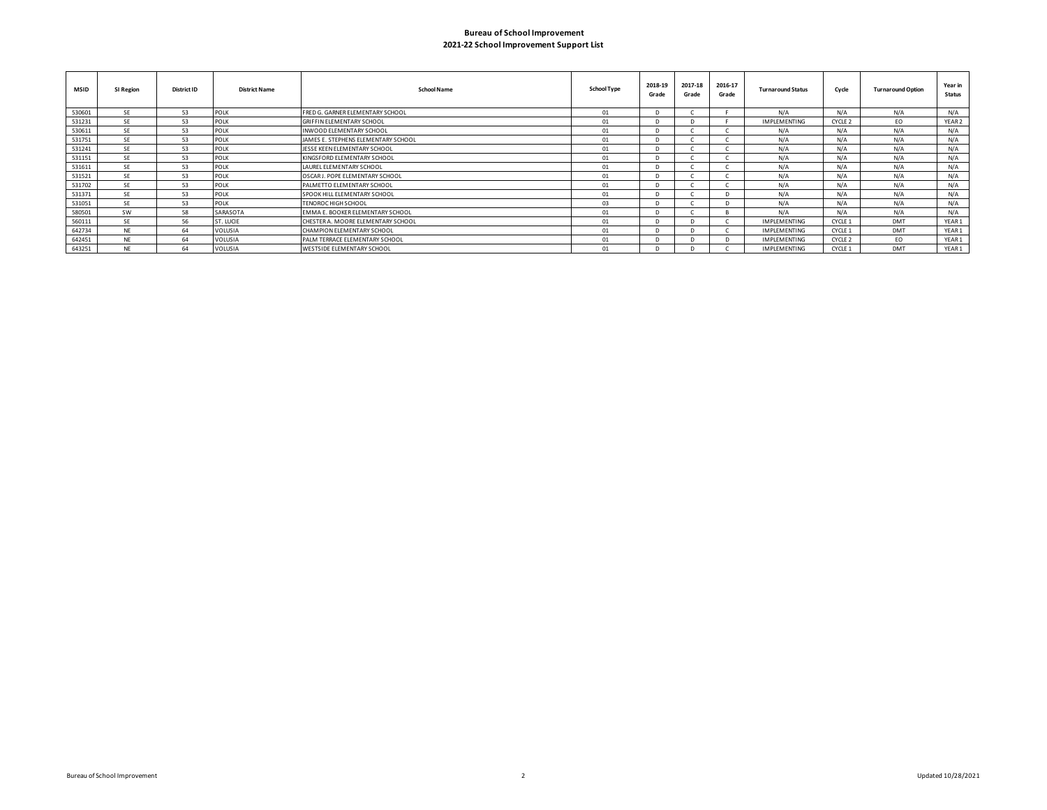## **2021-22 School Improvement Support List Bureau of School Improvement**

| <b>MSID</b> | SI Region | <b>District ID</b> | <b>District Name</b> | <b>School Name</b>                  | <b>School Type</b> | 2018-19<br>Grade | 2017-18<br>Grade | 2016-17<br>Grade | <b>Turnaround Status</b> | Cycle   | <b>Turnaround Option</b> | Year in<br><b>Status</b> |
|-------------|-----------|--------------------|----------------------|-------------------------------------|--------------------|------------------|------------------|------------------|--------------------------|---------|--------------------------|--------------------------|
| 530601      | <b>SE</b> | 53                 | POLK                 | FRED G. GARNER ELEMENTARY SCHOOL    | 01                 |                  |                  |                  | N/A                      | N/A     | N/A                      | N/A                      |
| 531231      | <b>SE</b> | 53                 | <b>POLK</b>          | <b>GRIFFIN ELEMENTARY SCHOOL</b>    | 01                 |                  |                  |                  | <b>IMPLEMENTING</b>      | CYCLE 2 | EO.                      | YEAR <sub>2</sub>        |
| 530611      | <b>SE</b> | 53                 | <b>POLK</b>          | INWOOD ELEMENTARY SCHOOL            | 01                 |                  |                  |                  | N/A                      | N/A     | N/A                      | N/A                      |
| 531751      | <b>SE</b> | 53                 | POLK                 | JAMES E. STEPHENS ELEMENTARY SCHOOL | 01                 |                  |                  |                  | N/A                      | N/A     | N/A                      | N/A                      |
| 531241      | <b>SE</b> | 53                 | POLK                 | JESSE KEEN ELEMENTARY SCHOOL        | 01                 |                  |                  |                  | N/A                      | N/A     | N/A                      | N/A                      |
| 531151      | <b>SE</b> | 53                 | POLK                 | KINGSFORD ELEMENTARY SCHOOL         | 01                 |                  |                  |                  | N/A                      | N/A     | N/A                      | N/A                      |
| 531611      | <b>SE</b> | 53                 | <b>POLK</b>          | LAUREL ELEMENTARY SCHOOL            | 01                 |                  |                  |                  | N/A                      | N/A     | N/A                      | N/A                      |
| 531521      | <b>SE</b> | 53                 | POLK                 | OSCAR J. POPE ELEMENTARY SCHOOL     | 01                 |                  |                  |                  | N/A                      | N/A     | N/A                      | N/A                      |
| 531702      | <b>SF</b> | 53                 | POLK                 | PALMETTO ELEMENTARY SCHOOL          | 01                 |                  |                  |                  | N/A                      | N/A     | N/A                      | N/A                      |
| 531371      | <b>SE</b> | 53                 | <b>POLK</b>          | SPOOK HILL ELEMENTARY SCHOOL        | 01                 |                  |                  |                  | N/A                      | N/A     | N/A                      | N/A                      |
| 531051      | <b>SE</b> | 53                 | <b>POLK</b>          | TENOROC HIGH SCHOOL                 | 03                 |                  |                  |                  | N/A                      | N/A     | N/A                      | N/A                      |
| 580501      | <b>SW</b> | 58                 | SARASOTA             | EMMA E. BOOKER ELEMENTARY SCHOOL    | 01                 |                  |                  |                  | N/A                      | N/A     | N/A                      | N/A                      |
| 560111      | <b>SE</b> | 56                 | ST. LUCIE            | CHESTER A. MOORE ELEMENTARY SCHOOL  | 01                 |                  |                  |                  | <b>IMPLEMENTING</b>      | CYCLE 1 | <b>DMT</b>               | YEAR1                    |
| 642734      | <b>NE</b> | 64                 | VOLUSIA              | CHAMPION ELEMENTARY SCHOOL          | 01                 |                  |                  |                  | <b>IMPLEMENTING</b>      | CYCLE 1 | <b>DMT</b>               | YEAR1                    |
| 642451      | <b>NE</b> | 64                 | VOLUSIA              | PALM TERRACE ELEMENTARY SCHOOL      | 01                 |                  |                  |                  | <b>IMPLEMENTING</b>      | CYCLE 2 | EO.                      | YEAR1                    |
| 643251      | <b>NF</b> | 64                 | <b>VOLUSIA</b>       | WESTSIDE ELEMENTARY SCHOOL          | 01                 |                  |                  |                  | <b>IMPLEMENTING</b>      | CYCLE 1 | <b>DMT</b>               | YEAR 1                   |